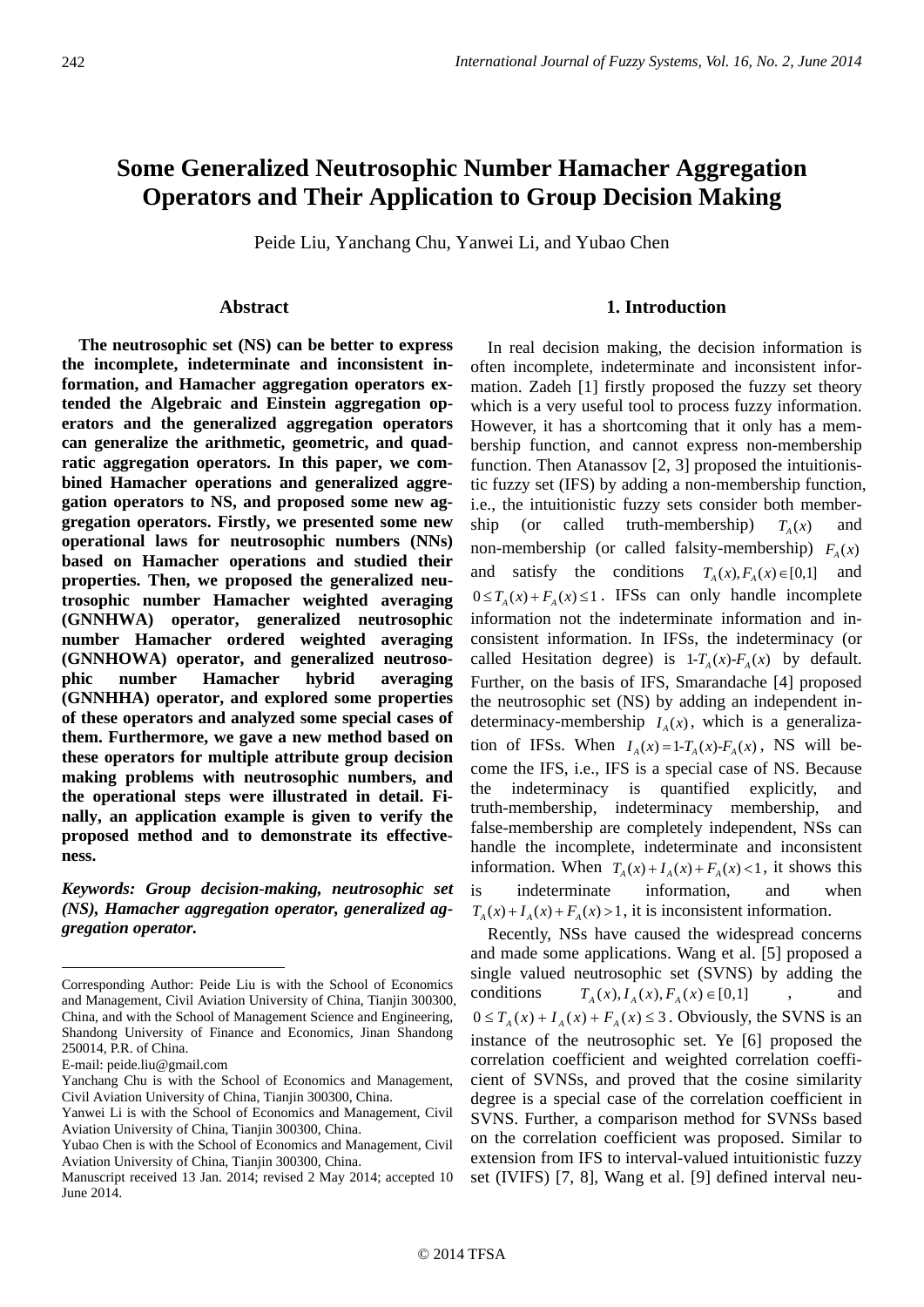# **Some Generalized Neutrosophic Number Hamacher Aggregation Operators and Their Application to Group Decision Making**

Peide Liu, Yanchang Chu, Yanwei Li, and Yubao Chen

# Abstract

**The neutrosophic set (NS) can be better to express the incomplete, indeterminate and inconsistent information, and Hamacher aggregation operators extended the Algebraic and Einstein aggregation operators and the generalized aggregation operators can generalize the arithmetic, geometric, and quadratic aggregation operators. In this paper, we combined Hamacher operations and generalized aggregation operators to NS, and proposed some new aggregation operators. Firstly, we presented some new operational laws for neutrosophic numbers (NNs) based on Hamacher operations and studied their properties. Then, we proposed the generalized neutrosophic number Hamacher weighted averaging (GNNHWA) operator, generalized neutrosophic number Hamacher ordered weighted averaging (GNNHOWA) operator, and generalized neutrosophic number Hamacher hybrid averaging (GNNHHA) operator, and explored some properties of these operators and analyzed some special cases of them. Furthermore, we gave a new method based on these operators for multiple attribute group decision making problems with neutrosophic numbers, and the operational steps were illustrated in detail. Finally, an application example is given to verify the proposed method and to demonstrate its effectiveness.** 

*Keywords: Group decision-making, neutrosophic set (NS), Hamacher aggregation operator, generalized aggregation operator.* 

1

## **1. Introduction**

In real decision making, the decision information is often incomplete, indeterminate and inconsistent information. Zadeh [1] firstly proposed the fuzzy set theory which is a very useful tool to process fuzzy information. However, it has a shortcoming that it only has a membership function, and cannot express non-membership function. Then Atanassov [2, 3] proposed the intuitionistic fuzzy set (IFS) by adding a non-membership function, i.e., the intuitionistic fuzzy sets consider both membership (or called truth-membership)  $T<sub>x</sub>(x)$  and non-membership (or called falsity-membership)  $F_A(x)$ and satisfy the conditions  $T_A(x), F_A(x) \in [0,1]$  and  $0 \leq T_{\lambda}(x) + F_{\lambda}(x) \leq 1$ . IFSs can only handle incomplete information not the indeterminate information and inconsistent information. In IFSs, the indeterminacy (or called Hesitation degree) is  $1-T_A(x)$ - $F_A(x)$  by default. Further, on the basis of IFS, Smarandache [4] proposed the neutrosophic set (NS) by adding an independent indeterminacy-membership  $I_A(x)$ , which is a generalization of IFSs. When  $I_A(x) = 1 - T_A(x) - F_A(x)$ , NS will become the IFS, i.e., IFS is a special case of NS. Because the indeterminacy is quantified explicitly, and truth-membership, indeterminacy membership, and false-membership are completely independent, NSs can handle the incomplete, indeterminate and inconsistent information. When  $T_A(x) + I_A(x) + F_A(x) < 1$ , it shows this is indeterminate information, and when  $T_{4}(x) + I_{4}(x) + F_{4}(x) > 1$ , it is inconsistent information.

Recently, NSs have caused the widespread concerns and made some applications. Wang et al. [5] proposed a single valued neutrosophic set (SVNS) by adding the conditions  $T_A(x), I_A(x), F_A(x) \in [0,1]$ , and  $0 \le T_A(x) + I_A(x) + F_A(x) \le 3$ . Obviously, the SVNS is an instance of the neutrosophic set. Ye [6] proposed the correlation coefficient and weighted correlation coefficient of SVNSs, and proved that the cosine similarity degree is a special case of the correlation coefficient in SVNS. Further, a comparison method for SVNSs based on the correlation coefficient was proposed. Similar to extension from IFS to interval-valued intuitionistic fuzzy set (IVIFS) [7, 8], Wang et al. [9] defined interval neu-

Corresponding Author: Peide Liu is with the School of Economics and Management, Civil Aviation University of China, Tianjin 300300, China, and with the School of Management Science and Engineering, Shandong University of Finance and Economics, Jinan Shandong 250014, P.R. of China.

E-mail: peide.liu@gmail.com

Yanchang Chu is with the School of Economics and Management, Civil Aviation University of China, Tianjin 300300, China.

Yanwei Li is with the School of Economics and Management, Civil Aviation University of China, Tianjin 300300, China.

Yubao Chen is with the School of Economics and Management, Civil Aviation University of China, Tianjin 300300, China.

Manuscript received 13 Jan. 2014; revised 2 May 2014; accepted 10 June 2014.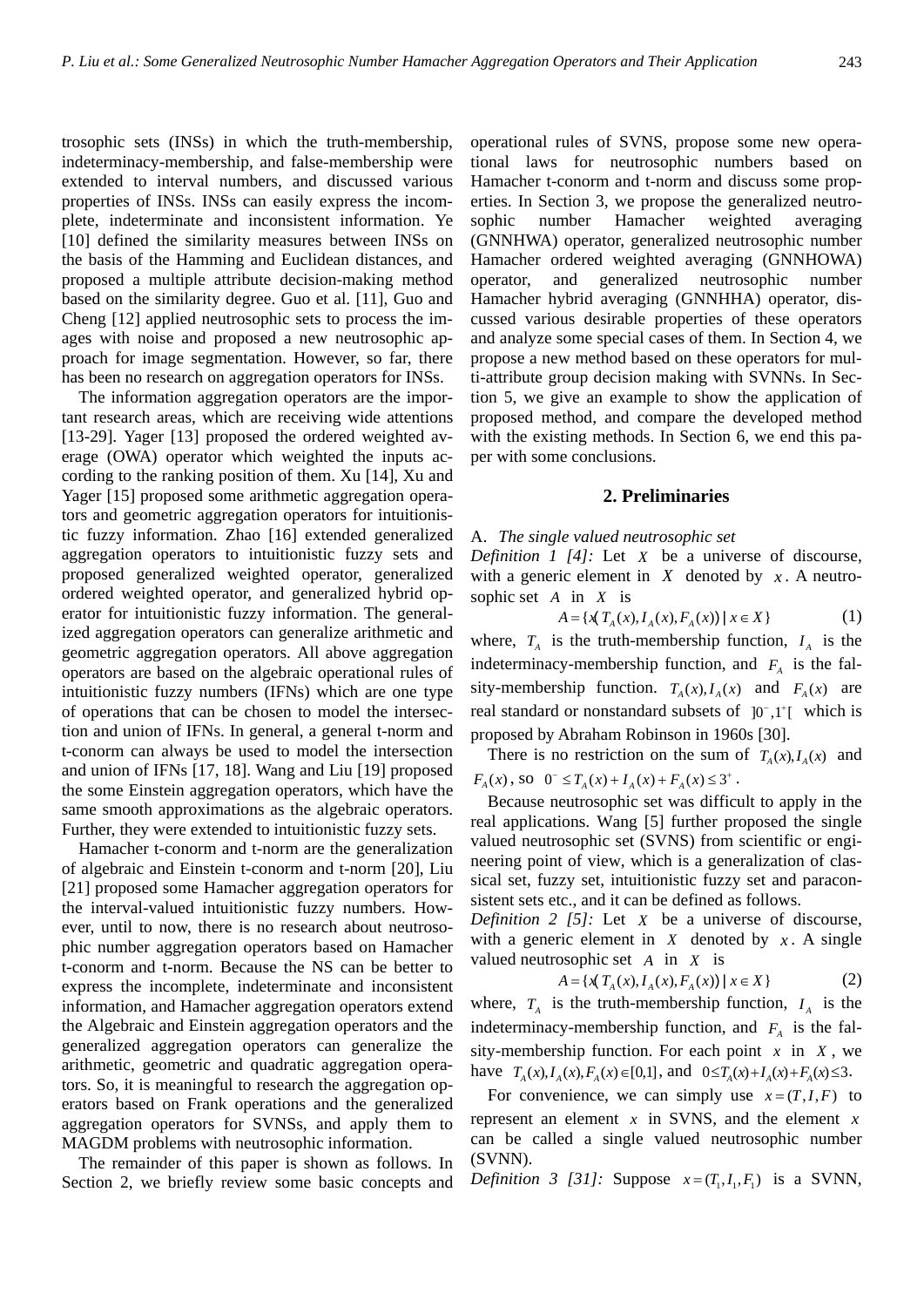trosophic sets (INSs) in which the truth-membership, indeterminacy-membership, and false-membership were extended to interval numbers, and discussed various properties of INSs. INSs can easily express the incomplete, indeterminate and inconsistent information. Ye [10] defined the similarity measures between INSs on the basis of the Hamming and Euclidean distances, and proposed a multiple attribute decision-making method based on the similarity degree. Guo et al. [11], Guo and Cheng [12] applied neutrosophic sets to process the images with noise and proposed a new neutrosophic approach for image segmentation. However, so far, there has been no research on aggregation operators for INSs.

The information aggregation operators are the important research areas, which are receiving wide attentions [13-29]. Yager [13] proposed the ordered weighted average (OWA) operator which weighted the inputs according to the ranking position of them. Xu [14], Xu and Yager [15] proposed some arithmetic aggregation operators and geometric aggregation operators for intuitionistic fuzzy information. Zhao [16] extended generalized aggregation operators to intuitionistic fuzzy sets and proposed generalized weighted operator, generalized ordered weighted operator, and generalized hybrid operator for intuitionistic fuzzy information. The generalized aggregation operators can generalize arithmetic and geometric aggregation operators. All above aggregation operators are based on the algebraic operational rules of intuitionistic fuzzy numbers (IFNs) which are one type of operations that can be chosen to model the intersection and union of IFNs. In general, a general t-norm and t-conorm can always be used to model the intersection and union of IFNs [17, 18]. Wang and Liu [19] proposed the some Einstein aggregation operators, which have the same smooth approximations as the algebraic operators. Further, they were extended to intuitionistic fuzzy sets.

Hamacher t-conorm and t-norm are the generalization of algebraic and Einstein t-conorm and t-norm [20], Liu [21] proposed some Hamacher aggregation operators for the interval-valued intuitionistic fuzzy numbers. However, until to now, there is no research about neutrosophic number aggregation operators based on Hamacher t-conorm and t-norm. Because the NS can be better to express the incomplete, indeterminate and inconsistent information, and Hamacher aggregation operators extend the Algebraic and Einstein aggregation operators and the generalized aggregation operators can generalize the arithmetic, geometric and quadratic aggregation operators. So, it is meaningful to research the aggregation operators based on Frank operations and the generalized aggregation operators for SVNSs, and apply them to MAGDM problems with neutrosophic information.

The remainder of this paper is shown as follows. In Section 2, we briefly review some basic concepts and

operational rules of SVNS, propose some new operational laws for neutrosophic numbers based on Hamacher t-conorm and t-norm and discuss some properties. In Section 3, we propose the generalized neutrosophic number Hamacher weighted averaging (GNNHWA) operator, generalized neutrosophic number Hamacher ordered weighted averaging (GNNHOWA) operator, and generalized neutrosophic number Hamacher hybrid averaging (GNNHHA) operator, discussed various desirable properties of these operators and analyze some special cases of them. In Section 4, we propose a new method based on these operators for multi-attribute group decision making with SVNNs. In Section 5, we give an example to show the application of proposed method, and compare the developed method with the existing methods. In Section 6, we end this paper with some conclusions.

#### **2. Preliminaries**

## A. *The single valued neutrosophic set*

*Definition 1 [4]:* Let *X* be a universe of discourse, with a generic element in  $X$  denoted by  $x$ . A neutrosophic set *A* in *X* is

$$
A = \{ x \left( T_A(x), I_A(x), F_A(x) \right) \mid x \in X \}
$$
 (1)

where,  $T_A$  is the truth-membership function,  $I_A$  is the indeterminacy-membership function, and  $F_A$  is the falsity-membership function.  $T_A(x)$ ,  $I_A(x)$  and  $F_A(x)$  are real standard or nonstandard subsets of  $[0^-,1^+]$  which is proposed by Abraham Robinson in 1960s [30].

There is no restriction on the sum of  $T_a(x)$ ,  $I_a(x)$  and  $F_A(x)$ , so  $0^- \le T_A(x) + I_A(x) + F_A(x) \le 3^+$ .

Because neutrosophic set was difficult to apply in the real applications. Wang [5] further proposed the single valued neutrosophic set (SVNS) from scientific or engineering point of view, which is a generalization of classical set, fuzzy set, intuitionistic fuzzy set and paraconsistent sets etc., and it can be defined as follows.

*Definition 2 [5]:* Let *X* be a universe of discourse, with a generic element in  $X$  denoted by  $x$ . A single valued neutrosophic set *A* in *X* is

$$
A = \{x(T_A(x), I_A(x), F_A(x)) \mid x \in X\}
$$
 (2)

where,  $T_A$  is the truth-membership function,  $I_A$  is the indeterminacy-membership function, and  $F_A$  is the falsity-membership function. For each point  $x$  in  $X$ , we have  $T_A(x)$ ,  $I_A(x)$ ,  $F_A(x) \in [0,1]$ , and  $0 \le T_A(x) + I_A(x) + F_A(x) \le 3$ .

For convenience, we can simply use  $x = (T, I, F)$  to represent an element  $x$  in SVNS, and the element  $x$ can be called a single valued neutrosophic number (SVNN).

*Definition 3 [31]:* Suppose  $x = (T_1, I_1, F_1)$  is a SVNN,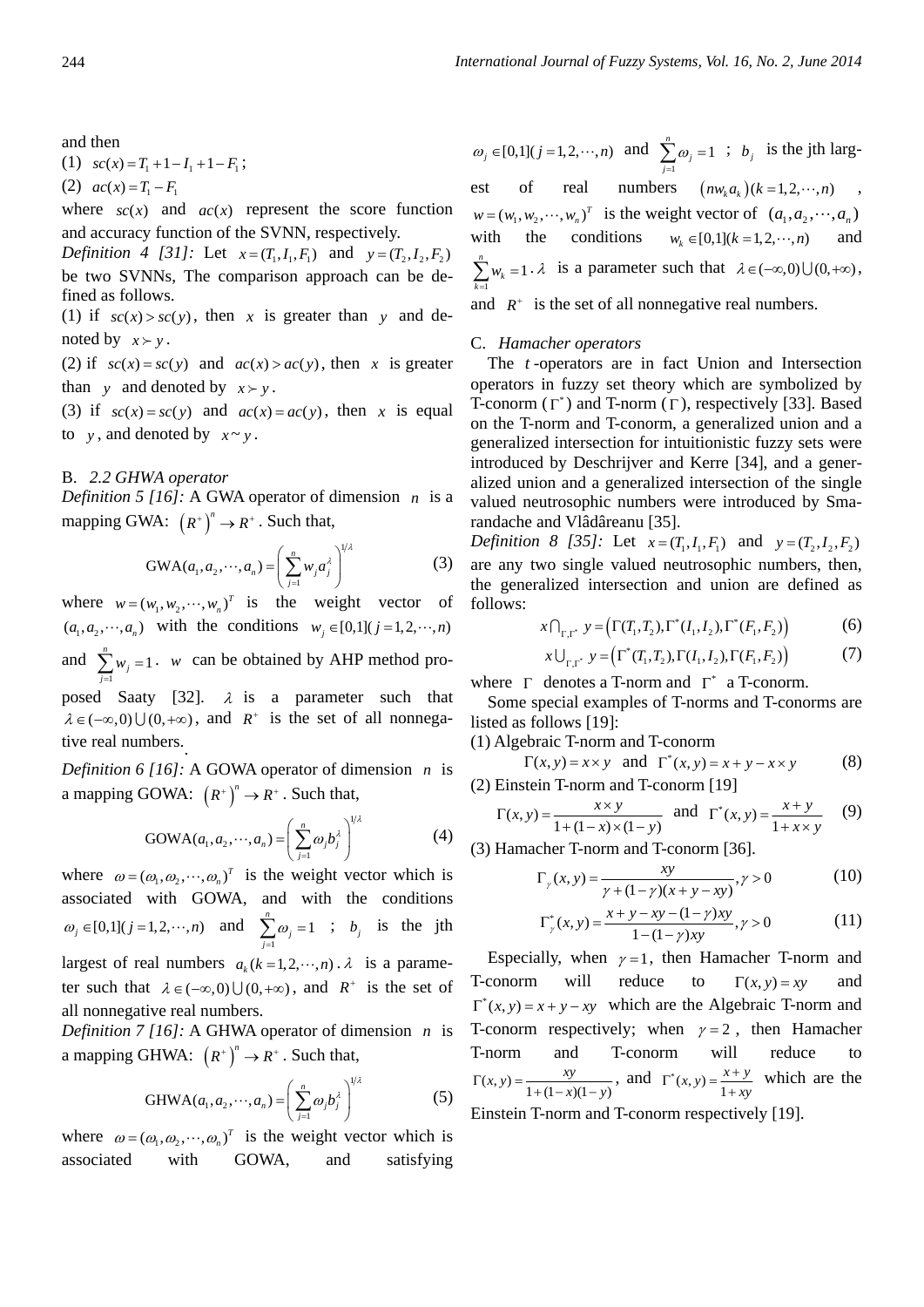and then

(1)  $sc(x) = T_1 + 1 - I_1 + 1 - F_1$ ;

(2)  $ac(x) = T_1 - F_1$ 

where  $sc(x)$  and  $ac(x)$  represent the score function and accuracy function of the SVNN, respectively.

*Definition 4 [31]:* Let  $x = (T_1, I_1, F_1)$  and  $y = (T_2, I_2, F_2)$ be two SVNNs, The comparison approach can be defined as follows.

(1) if  $sc(x) > sc(y)$ , then x is greater than y and denoted by  $x \succ y$ .

(2) if  $sc(x) = sc(y)$  and  $ac(x) > ac(y)$ , then x is greater than *y* and denoted by  $x > y$ .

(3) if  $sc(x) = sc(y)$  and  $ac(x) = ac(y)$ , then x is equal to  $v$ , and denoted by  $x \sim v$ .

#### B. *2.2 GHWA operator*

*Definition 5 [16]:* A GWA operator of dimension *n* is a mapping GWA:  $(R^*)^n \to R^*$ . Such that,

$$
GWA(a_1, a_2, \cdots, a_n) = \left(\sum_{j=1}^n w_j a_j^{\lambda}\right)^{1/\lambda}
$$
 (3)

where  $w = (w_1, w_2, \dots, w_n)^T$  is the weight vector of  $(a_1, a_2, \dots, a_n)$  with the conditions  $w_i \in [0,1]$  ( $j = 1,2,\dots, n$ ) and  $\sum_{j=1}^{n} w_j = 1$ *j j w*  $\sum_{j=1}^{n} w_j = 1$ . *w* can be obtained by AHP method proposed Saaty [32].  $\lambda$  is a parameter such that

 $\lambda \in (-\infty, 0) \cup (0, +\infty)$ , and  $R^+$  is the set of all nonnegative real numbers..

*Definition 6 [16]:* A GOWA operator of dimension *n* is a mapping GOWA:  $(R^*)^n \to R^*$ . Such that,

$$
GOWA(a_1, a_2, \cdots, a_n) = \left(\sum_{j=1}^n \omega_j b_j^{\lambda}\right)^{1/\lambda}
$$
 (4)

where  $\omega = (\omega_1, \omega_2, \cdots, \omega_n)^T$  is the weight vector which is associated with GOWA, and with the conditions  $\omega_j \in [0,1]$  (*j* = 1, 2, ···, *n*) and  $\sum_{j=1}^{n} \omega_j = 1$  $\sum_{j=1}$ <sup> $\omega_j$ </sup>  $\omega$  $\sum_{j=1}^{n} \omega_j = 1$  ;  $b_j$  is the jth largest of real numbers  $a_k$  ( $k = 1, 2, \dots, n$ ).  $\lambda$  is a parameter such that  $\lambda \in (-\infty, 0) \cup (0, +\infty)$ , and  $R^+$  is the set of all nonnegative real numbers.

*Definition 7 [16]:* A GHWA operator of dimension *n* is a mapping GHWA:  $(R^*)^n \to R^*$ . Such that,

GHWA
$$
(a_1, a_2, \cdots, a_n)
$$
 =  $\left(\sum_{j=1}^n \omega_j b_j^{\lambda}\right)^{1/\lambda}$  (5)

where  $\omega = (\omega_1, \omega_2, \dots, \omega_n)^T$  is the weight vector which is associated with GOWA, and satisfying

 $\omega_j \in [0,1]$  (*j* = 1, 2, ···, *n*) and  $\sum_{j=1}^{n} \omega_j = 1$  $\sum_{j=1}^{\omega}$  $\omega$  $\sum_{j=1}^{n} \omega_j = 1$  ;  $b_j$  is the jth largest of real numbers  $(nw_ka_k)(k=1,2,\dots,n)$ ,  $w = (w_1, w_2, \dots, w_n)^T$  is the weight vector of  $(a_1, a_2, \dots, a_n)$ with the conditions  $w_k \in [0,1](k = 1,2, \dots, n)$  and 1  $\sum_{k=1}^{n} w_k = 1$  $\sum_{k=1}^{\infty}$ <sup>*w*</sup><sub>k</sub> *w*  $\sum_{k=1}^{n} w_k = 1 \cdot \lambda$  is a parameter such that  $\lambda \in (-\infty, 0) \cup (0, +\infty)$ , and  $R^+$  is the set of all nonnegative real numbers.

#### C. *Hamacher operators*

The *t* -operators are in fact Union and Intersection operators in fuzzy set theory which are symbolized by T-conorm  $(\Gamma^*)$  and T-norm  $(\Gamma)$ , respectively [33]. Based on the T-norm and T-conorm, a generalized union and a generalized intersection for intuitionistic fuzzy sets were introduced by Deschrijver and Kerre [34], and a generalized union and a generalized intersection of the single valued neutrosophic numbers were introduced by Smarandache and Vlâdâreanu [35].

*Definition 8 [35]:* Let  $x = (T_1, I_1, F_1)$  and  $y = (T_2, I_2, F_2)$ are any two single valued neutrosophic numbers, then, the generalized intersection and union are defined as follows:

$$
x \bigcap_{\Gamma, \Gamma} y = \big(\Gamma(T_1, T_2), \Gamma^*(I_1, I_2), \Gamma^*(F_1, F_2)\big) \tag{6}
$$

$$
x \bigcup_{\Gamma, \Gamma} y = \left( \Gamma^*(T_1, T_2), \Gamma(I_1, I_2), \Gamma(F_1, F_2) \right) \tag{7}
$$

where  $\Gamma$  denotes a T-norm and  $\Gamma^*$  a T-conorm.

Some special examples of T-norms and T-conorms are listed as follows [19]:

(1) Algebraic T-norm and T-conorm

 $\Gamma(x, y) = x \times y$  and  $\Gamma^*(x, y) = x + y - x \times y$  (8) (2) Einstein T-norm and T-conorm [19]

$$
\Gamma(x, y) = \frac{x \times y}{1 + (1 - x) \times (1 - y)}
$$
 and  $\Gamma^*(x, y) = \frac{x + y}{1 + x \times y}$  (9)

(3) Hamacher T-norm and T-conorm [36].

$$
\Gamma_{\gamma}(x, y) = \frac{xy}{\gamma + (1 - \gamma)(x + y - xy)}, \gamma > 0
$$
 (10)

$$
\Gamma_{\gamma}^{*}(x, y) = \frac{x + y - xy - (1 - \gamma)xy}{1 - (1 - \gamma)xy}, \gamma > 0
$$
\n(11)

Especially, when  $\gamma = 1$ , then Hamacher T-norm and T-conorm will reduce to  $\Gamma(x, y) = xy$  and  $\Gamma^*(x, y) = x + y - xy$  which are the Algebraic T-norm and T-conorm respectively; when  $\gamma = 2$ , then Hamacher T-norm and T-conorm will reduce to  $\Gamma(x, y) = \frac{xy}{1 + (1 - x)(1 - y)},$  and  $\Gamma^*(x, y) = \frac{x + y}{1 + xy}$  which are the

Einstein T-norm and T-conorm respectively [19].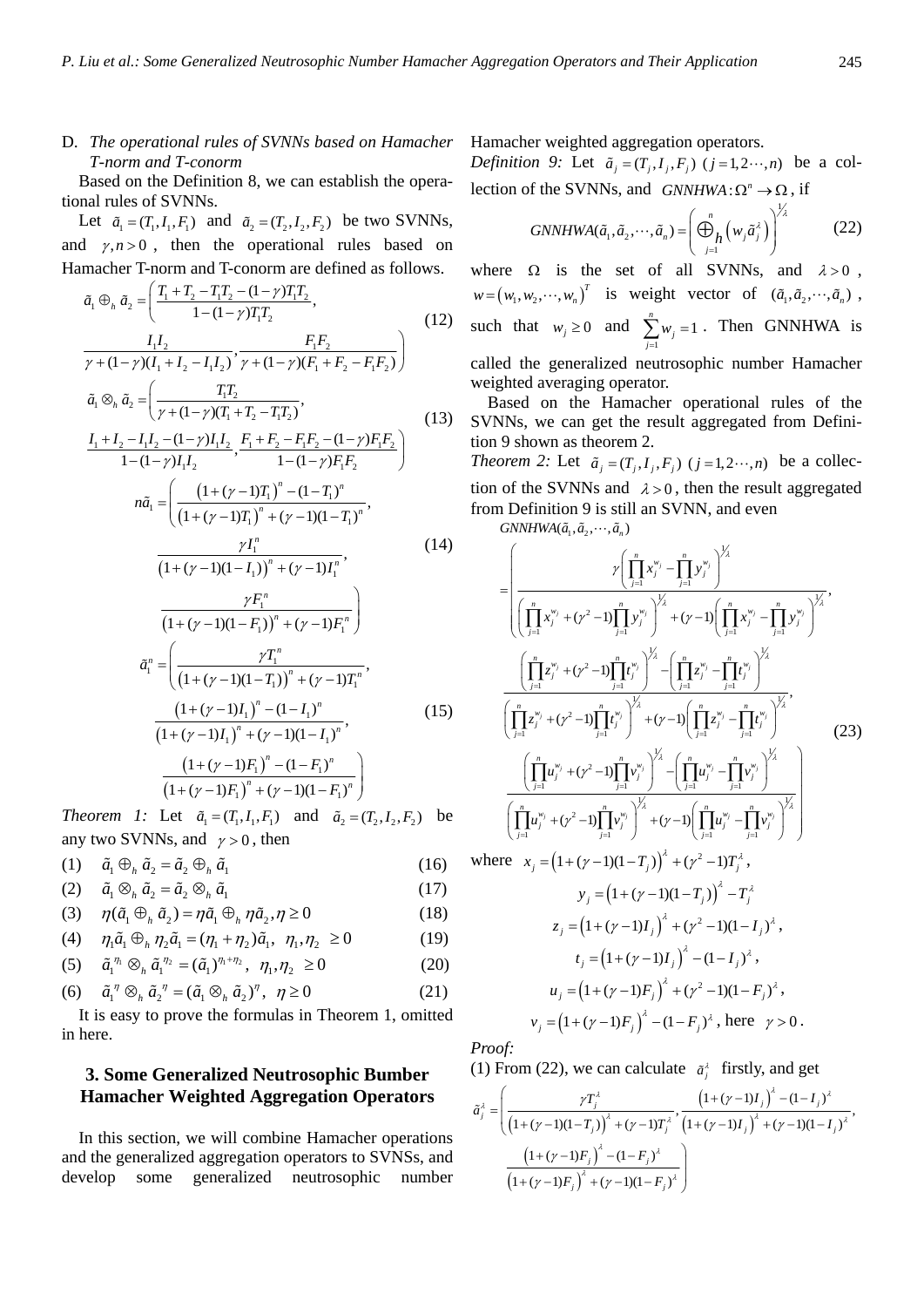# D. *The operational rules of SVNNs based on Hamacher T-norm and T-conorm*

Based on the Definition 8, we can establish the operational rules of SVNNs.

Let  $\tilde{a}_1 = (T_1, I_1, F_1)$  and  $\tilde{a}_2 = (T_2, I_2, F_2)$  be two SVNNs, and  $\gamma$ ,  $n > 0$ , then the operational rules based on Hamacher T-norm and T-conorm are defined as follows.

$$
\tilde{a}_1 \oplus_h \tilde{a}_2 = \left( \frac{T_1 + T_2 - T_1 T_2 - (1 - \gamma) T_1 T_2}{1 - (1 - \gamma) T_1 T_2}, \frac{F_1 F_2}{\gamma + (1 - \gamma) (I_1 + I_2 - I_1 I_2)}, \frac{F_1 F_2}{\gamma + (1 - \gamma) (F_1 + F_2 - F_1 F_2)} \right)
$$
\n
$$
\tilde{a}_1 \otimes_h \tilde{a}_2 = \left( \frac{T_1 T_2}{\gamma + (1 - \gamma) (T_1 + T_2 - T_1 T_2)}, \frac{1}{\gamma + (1 - \gamma) (T_1 + T_2 - T_1 T_2)} \right)
$$
\n(13)

$$
\tilde{a}_1 \otimes_h \tilde{a}_2 = \left( \frac{I_1 I_2}{\gamma + (1 - \gamma)(T_1 + T_2 - T_1 T_2)}, \right)
$$
\n
$$
I_1 + I_2 - I_1 I_2 - (1 - \gamma) I_1 I_2 \quad F_1 + F_2 - F_1 F_2 - (1 - \gamma) F_1 F_2 \right)
$$
\n(13)

$$
\frac{r_1 + I_2 - I_1 I_2 - (1 - \gamma) I_1 I_2}{1 - (1 - \gamma) I_1 I_2}, \frac{F_1 + F_2 - F_1 F_2 - (1 - \gamma) F_1 F_2}{1 - (1 - \gamma) F_1 F_2} \right)
$$
\n
$$
n\tilde{a}_1 = \left( \frac{\left(1 + (\gamma - 1)T_1\right)^n - (1 - T_1)^n}{\left(1 + (\gamma - 1)T_1\right)^n + (\gamma - 1)(1 - T_1)^n}, \frac{\gamma I_1^n}{1 - \gamma}, \frac{\gamma I_1^n}{1 - \gamma}, \frac{\gamma I_1^n}{1 - \gamma}. \frac{\gamma I_1^n}{1 - \gamma}. \frac{\gamma I_1^n}{1 - \gamma}. \frac{\gamma I_1^n}{1 - \gamma}. \frac{\gamma I_1^n}{1 - \gamma}. \frac{\gamma I_1^n}{1 - \gamma}. \frac{\gamma I_1^n}{1 - \gamma}. \frac{\gamma I_1^n}{1 - \gamma}. \frac{\gamma I_1^n}{1 - \gamma}. \frac{\gamma I_1^n}{1 - \gamma}. \frac{\gamma I_1^n}{1 - \gamma}. \frac{\gamma I_1^n}{1 - \gamma}. \frac{\gamma I_1^n}{1 - \gamma}. \frac{\gamma I_1^n}{1 - \gamma}. \frac{\gamma I_1^n}{1 - \gamma}. \frac{\gamma I_1^n}{1 - \gamma}. \frac{\gamma I_1^n}{1 - \gamma}. \frac{\gamma I_1^n}{1 - \gamma}. \frac{\gamma I_1^n}{1 - \gamma}. \frac{\gamma I_1^n}{1 - \gamma}. \frac{\gamma I_1^n}{1 - \gamma}. \frac{\gamma I_1^n}{1 - \gamma}. \frac{\gamma I_1^n}{1 - \gamma}. \frac{\gamma I_1^n}{1 - \gamma}. \frac{\gamma I_1^n}{1 - \gamma}. \frac{\gamma I_1^n}{1 - \gamma}. \frac{\gamma I_1^n}{1 - \gamma}. \frac{\gamma I_1^n}{1 - \gamma}. \frac{\gamma I_1^n}{1 - \gamma}. \frac{\gamma I_1^n}{1 - \gamma}. \frac{\gamma I_1^n}{1 - \gamma}. \frac{\gamma I_1^n}{1 - \gamma}. \frac{\gamma I_1^n}{1 - \gamma}. \frac{\gamma I_1^n}{1 - \gamma}. \frac{\gamma I_1^n}{1 - \gamma}. \frac{\gamma I_1^n}{1 - \gamma}. \frac{\gamma I_1^n}{1 - \gamma}. \frac{\gamma I_1^n}{1 - \gamma}. \frac{\gamma I_1^n}{1 - \gamma}. \frac{\gamma I_1
$$

$$
\frac{\gamma I_1}{(1+(\gamma-1)(1-I_1))'' + (\gamma-1)I_1^n},
$$
\n
$$
\frac{\gamma F_1^n}{(1+(\gamma-1)(1-F_1))^n + (\gamma-1)F_1^n}
$$
\n
$$
\tilde{a}_1^n = \left(\frac{\gamma T_1^n}{(1+(\gamma-1)(1-T_1))^n + (\gamma-1)T_1^n},
$$
\n
$$
\frac{(1+(\gamma-1)I_1)^n - (1-I_1)^n}{(1+(\gamma-1)I_1)^n + (\gamma-1)(1-I_1)^n},
$$
\n
$$
\frac{(1+(\gamma-1)F_1)^n - (1-F_1)^n}{(1+(\gamma-1)F_1)^n + (\gamma-1)(1-F_1)^n}
$$
\n(15)

*Theorem 1:* Let  $\tilde{a}_1 = (T_1, I_1, F_1)$  and  $\tilde{a}_2 = (T_2, I_2, F_2)$  be any two SVNNs, and  $y > 0$ , then

(1)  $\tilde{a}_1 \oplus_b \tilde{a}_2 = \tilde{a}_2 \oplus_b \tilde{a}_1$ 

$$
(2) \quad \tilde{a}_1 \otimes_h \tilde{a}_2 = \tilde{a}_2 \otimes_h \tilde{a}_1 \tag{17}
$$

$$
(3) \quad \eta(\tilde{a}_1 \oplus_h \tilde{a}_2) = \eta \tilde{a}_1 \oplus_h \eta \tilde{a}_2, \eta \ge 0 \tag{18}
$$

(4) 
$$
\eta_1 \tilde{a}_1 \oplus_h \eta_2 \tilde{a}_1 = (\eta_1 + \eta_2) \tilde{a}_1, \ \eta_1, \eta_2 \ge 0
$$
 (19)

(5) 
$$
\tilde{a}_1^{\eta_1} \otimes_h \tilde{a}_1^{\eta_2} = (\tilde{a}_1)^{\eta_1 + \eta_2}, \ \eta_1, \eta_2 \ge 0
$$
 (20)

(6) 
$$
\tilde{a}_1^{\eta} \otimes_h \tilde{a}_2^{\eta} = (\tilde{a}_1 \otimes_h \tilde{a}_2)^{\eta}, \ \eta \ge 0
$$
 (21)

It is easy to prove the formulas in Theorem 1, omitted in here.

# **3. Some Generalized Neutrosophic Bumber Hamacher Weighted Aggregation Operators**

In this section, we will combine Hamacher operations and the generalized aggregation operators to SVNSs, and develop some generalized neutrosophic number Hamacher weighted aggregation operators.

*Definition 9:* Let  $\tilde{a}_i = (T_i, I_i, F_i)$   $(j = 1, 2, \dots, n)$  be a collection of the SVNNs, and  $GNNHWA: \Omega^n \to \Omega$ , if

$$
GNNHWA(\tilde{a}_1, \tilde{a}_2, \cdots, \tilde{a}_n) = \left(\bigoplus_{j=1}^n \left(w_j \tilde{a}_j^{\lambda}\right)\right)^{\lambda}
$$
(22)

 $\cdot$  1/

where  $\Omega$  is the set of all SVNNs, and  $\lambda > 0$ ,  $w = (w_1, w_2, \dots, w_n)^T$  is weight vector of  $(\tilde{a}_1, \tilde{a}_2, \dots, \tilde{a}_n)$ , such that  $w_j \ge 0$  and  $\sum_{j=1}^n w_j = 1$ *j j w*  $\sum_{j=1}^{n} w_j = 1$ . Then GNNHWA is called the generalized neutrosophic number Hamacher

weighted averaging operator.

 (13) SVNNs, we can get the result aggregated from Defini-Based on the Hamacher operational rules of the tion 9 shown as theorem 2.

*Theorem 2:* Let  $\tilde{a}_i = (T_i, I_i, F_i)$   $(j = 1, 2 \cdots, n)$  be a collection of the SVNNs and  $\lambda > 0$ , then the result aggregated from Definition 9 is still an SVNN, and even

$$
GNNHWA(\tilde{a}_1, \tilde{a}_2, \cdots, \tilde{a}_n)
$$

$$
= \left( \frac{\gamma \left( \prod_{j=1}^{n} x_{j}^{w_{j}} - \prod_{j=1}^{n} y_{j}^{w_{j}} \right)^{\frac{1}{2}}}{\left( \prod_{j=1}^{n} x_{j}^{w_{j}} + (\gamma^{2} - 1) \prod_{j=1}^{n} y_{j}^{w_{j}} \right)^{\frac{1}{2}} + (\gamma - 1) \left( \prod_{j=1}^{n} x_{j}^{w_{j}} - \prod_{j=1}^{n} y_{j}^{w_{j}} \right)^{\frac{1}{2}}}
$$
\n
$$
\frac{\left( \prod_{j=1}^{n} z_{j}^{w_{j}} + (\gamma^{2} - 1) \prod_{j=1}^{n} t_{j}^{w_{j}} \right)^{\frac{1}{2}} - \left( \prod_{j=1}^{n} z_{j}^{w_{j}} - \prod_{j=1}^{n} t_{j}^{w_{j}} \right)^{\frac{1}{2}}}{\left( \prod_{j=1}^{n} z_{j}^{w_{j}} + (\gamma^{2} - 1) \prod_{j=1}^{n} t_{j}^{w_{j}} \right)^{\frac{1}{2}} + (\gamma - 1) \left( \prod_{j=1}^{n} z_{j}^{w_{j}} - \prod_{j=1}^{n} t_{j}^{w_{j}} \right)^{\frac{1}{2}}}
$$
\n
$$
\frac{\left( \prod_{j=1}^{n} u_{j}^{w_{j}} + (\gamma^{2} - 1) \prod_{j=1}^{n} v_{j}^{w_{j}} \right)^{\frac{1}{2}} - \left( \prod_{j=1}^{n} u_{j}^{w_{j}} - \prod_{j=1}^{n} v_{j}^{w_{j}} \right)^{\frac{1}{2}}}{\left( \prod_{j=1}^{n} u_{j}^{w_{j}} + (\gamma^{2} - 1) \prod_{j=1}^{n} v_{j}^{w_{j}} \right)^{\frac{1}{2}} + (\gamma - 1) \left( \prod_{j=1}^{n} u_{j}^{w_{j}} - \prod_{j=1}^{n} v_{j}^{w_{j}} \right)^{\frac{1}{2}}}
$$
\n
$$
\text{where } x_{n} = (1 + (\gamma - 1)(1 - T_{n}))^{\frac{1}{2}} + (\gamma^{2} - 1) T_{n}^{\frac{1}{2}}
$$

(16) where  $x_j = (1 + (\gamma - 1)(1 - T_j))^2 + (\gamma^2 - 1)T_j^2$ ,

$$
y_j = (1 + (\gamma - 1)(1 - T_j))^{\lambda} - T_j^{\lambda}
$$
  
\n
$$
z_j = (1 + (\gamma - 1)I_j)^{\lambda} + (\gamma^2 - 1)(1 - I_j)^{\lambda},
$$
  
\n
$$
t_j = (1 + (\gamma - 1)I_j)^{\lambda} - (1 - I_j)^{\lambda},
$$
  
\n
$$
u_j = (1 + (\gamma - 1)F_j)^{\lambda} + (\gamma^2 - 1)(1 - F_j)^{\lambda},
$$
  
\n
$$
v_j = (1 + (\gamma - 1)F_j)^{\lambda} - (1 - F_j)^{\lambda}, \text{ here } \gamma > 0.
$$

*Proof:* 

(1) From (22), we can calculate  $\tilde{a}^{\lambda}_{j}$  firstly, and get

$$
\tilde{a}_{j}^{\lambda} = \left( \frac{\gamma T_{j}^{\lambda}}{\left(1 + (\gamma - 1)(1 - T_{j})\right)^{\lambda} + (\gamma - 1)T_{j}^{\lambda}}, \frac{\left(1 + (\gamma - 1)I_{j}\right)^{\lambda} - (1 - I_{j})^{\lambda}}{\left(1 + (\gamma - 1)I_{j}\right)^{\lambda} + (\gamma - 1)(1 - I_{j})^{\lambda}} \cdot \frac{\left(1 + (\gamma - 1)F_{j}\right)^{\lambda} - (1 - F_{j})^{\lambda}}{\left(1 + (\gamma - 1)F_{j}\right)^{\lambda} + (\gamma - 1)(1 - F_{j})^{\lambda}} \right)
$$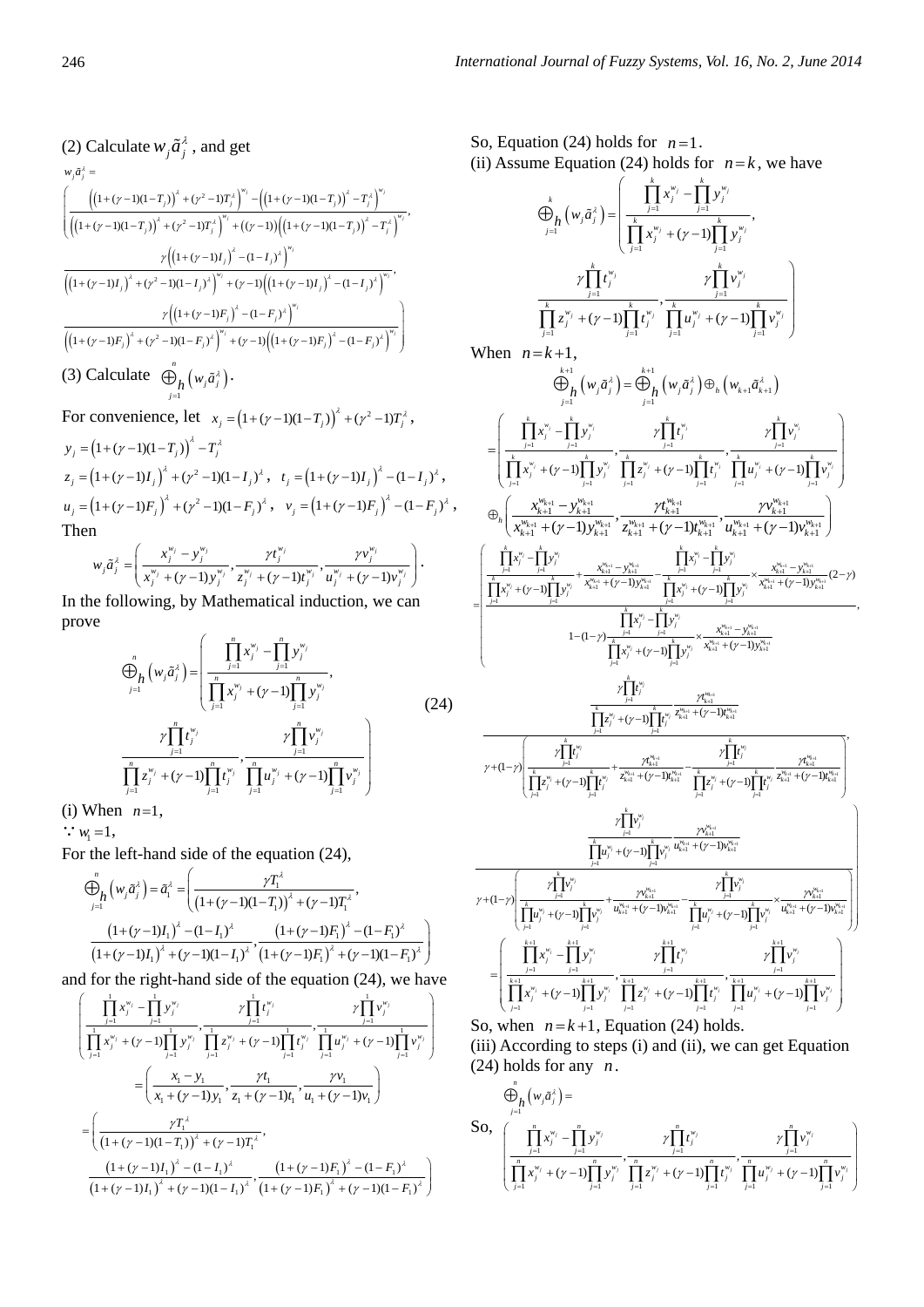(2) Calculate 
$$
w_j \tilde{a}_j^{\lambda}
$$
, and get  
\n
$$
w_j \tilde{a}_j^{\lambda} = \left( \frac{\left( (1 + (y - 1)(1 - T_j))^\lambda + (y^2 - 1)T_j^\lambda \right)^{w_j} - \left( (1 + (y - 1)(1 - T_j))^\lambda - T_j^\lambda \right)^{w_j}}{\left( (1 + (y - 1)(1 - T_j))^\lambda + (y^2 - 1)T_j^\lambda \right)^{w_j} + ((y - 1)\left( (1 + (y - 1)(1 - T_j))^\lambda - T_j^\lambda \right)^{w_j}}, \frac{\gamma \left( (1 + (y - 1)I_j)^\lambda - (1 - I_j)^\lambda \right)^{w_j}}{\left( (1 + (y - 1)I_j)^\lambda + (y^2 - 1)(1 - I_j)^\lambda \right)^{w_j} + (y - 1)\left( (1 + (y - 1)I_j)^\lambda - (1 - I_j)^\lambda \right)^{w_j}}, \frac{\gamma \left( (1 + (y - 1)F_j)^\lambda - (1 - F_j)^\lambda \right)^{w_j}}{\left( (1 + (y - 1)F_j)^\lambda + (y^2 - 1)(1 - F_j)^\lambda \right)^{w_j} + (y - 1)\left( (1 + (y - 1)F_j)^\lambda - (1 - F_j)^\lambda \right)^{w_j}} \right)}
$$
\n(3) Calculate  $\bigoplus_{j=1}^n \left( w_j \tilde{a}_j^{\lambda} \right)$ .

For convenience, let 
$$
x_j = (1 + (\gamma - 1)(1 - T_j))^{\lambda} + (\gamma^2 - 1)T_j^{\lambda}
$$
,  
\n $y_j = (1 + (\gamma - 1)(1 - T_j))^{\lambda} - T_j^{\lambda}$   
\n $z_j = (1 + (\gamma - 1)I_j)^{\lambda} + (\gamma^2 - 1)(1 - I_j)^{\lambda}$ ,  $t_j = (1 + (\gamma - 1)I_j)^{\lambda} - (1 - I_j)^{\lambda}$ ,  
\n $u_j = (1 + (\gamma - 1)F_j)^{\lambda} + (\gamma^2 - 1)(1 - F_j)^{\lambda}$ ,  $v_j = (1 + (\gamma - 1)F_j)^{\lambda} - (1 - F_j)^{\lambda}$ ,  
\nThen

$$
w_j \tilde{a}_j^{\lambda} = \left(\frac{x_j^{w_j} - y_j^{w_j}}{x_j^{w_j} + (\gamma - 1)y_j^{w_j}}, \frac{\gamma t_j^{w_j}}{z_j^{w_j} + (\gamma - 1)t_j^{w_j}}, \frac{\gamma v_j^{w_j}}{u_j^{w_j} + (\gamma - 1)v_j^{w_j}}\right).
$$

In the following, by Mathematical induction, we can prove  $\overline{1}$ 

$$
\bigoplus_{j=1}^{n} (w_j \tilde{a}_j^{\lambda}) = \left( \frac{\prod_{j=1}^{n} x_j^{w_j} - \prod_{j=1}^{n} y_j^{w_j}}{\prod_{j=1}^{n} x_j^{w_j} + (\gamma - 1) \prod_{j=1}^{n} y_j^{w_j}}, \frac{\gamma \prod_{j=1}^{n} t_j^{w_j}}{\prod_{j=1}^{n} t_j^{w_j}}, \frac{\gamma \prod_{j=1}^{n} v_j^{w_j}}{\prod_{j=1}^{n} x_j^{w_j} + (\gamma - 1) \prod_{j=1}^{n} t_j^{w_j}}, \frac{\gamma \prod_{j=1}^{n} v_j^{w_j}}{\prod_{j=1}^{n} u_j^{w_j} + (\gamma - 1) \prod_{j=1}^{n} v_j^{w_j}} \right)
$$
\n(24)

(i) When  $n=1$ ,

 $\therefore$   $w_1 = 1$ ,

For the left-hand side of the equation (24),

$$
\bigoplus_{j=1}^{n} \left( w_{j} \tilde{a}_{j}^{\lambda} \right) = \tilde{a}_{1}^{\lambda} = \left( \frac{\gamma T_{1}^{\lambda}}{\left( 1 + (\gamma - 1)(1 - T_{1}) \right)^{\lambda} + (\gamma - 1)T_{1}^{\lambda}}, \frac{\left( 1 + (\gamma - 1)I_{1} \right)^{\lambda} - (1 - I_{1})^{\lambda}}{\left( 1 + (\gamma - 1)I_{1} \right)^{\lambda} + (\gamma - 1)(1 - I_{1})^{\lambda}}, \frac{\left( 1 + (\gamma - 1)F_{1} \right)^{\lambda} - (1 - F_{1})^{\lambda}}{\left( 1 + (\gamma - 1)I_{1} \right)^{\lambda} + (\gamma - 1)(1 - I_{1})^{\lambda}}, \frac{\left( 1 + (\gamma - 1)F_{1} \right)^{\lambda} - (1 - F_{1})^{\lambda}}{\left( 1 + (\gamma - 1)F_{1} \right)^{\lambda} + (\gamma - 1)(1 - F_{1})^{\lambda}} \right)
$$

and for the right-hand side of the equation  $(24)$ , we have

$$
\begin{split}\n&\left(\frac{\prod_{j=1}^{1} x_j^{w_j} - \prod_{j=1}^{1} y_j^{w_j}}{\prod_{j=1}^{1} x_j^{w_j} + (\gamma - 1)\prod_{j=1}^{1} y_j^{w_j}}, \frac{\gamma \prod_{j=1}^{1} t_j^{w_j}}{\prod_{j=1}^{1} x_j^{w_j} + (\gamma - 1)\prod_{j=1}^{1} y_j^{w_j}}\right) \\
&= \left(\frac{x_1 - y_1}{x_1 + (\gamma - 1)y_1}, \frac{\gamma t_1}{z_1 + (\gamma - 1)t_1}, \frac{\gamma v_1}{u_1 + (\gamma - 1)v_1}\right) \\
&= \left(\frac{\gamma T_1^{\lambda}}{(1 + (\gamma - 1)(1 - T_1))^{\lambda} + (\gamma - 1)T_1^{\lambda}}, \frac{\gamma v_1}{u_1 + (\gamma - 1)v_1}\right) \\
&= \left(\frac{\gamma T_1^{\lambda}}{(1 + (\gamma - 1)(1 - T_1))^{\lambda} + (\gamma - 1)T_1^{\lambda}}, \frac{\left(1 + (\gamma - 1)F_1\right)^{\lambda} - (1 - F_1)^{\lambda}}{\left(1 + (\gamma - 1)I_1\right)^{\lambda} + (\gamma - 1)(1 - I_1)^{\lambda}}, \frac{\left(1 + (\gamma - 1)F_1\right)^{\lambda} + (\gamma - 1)(1 - F_1)^{\lambda}}{\left(1 + (\gamma - 1)I_1\right)^{\lambda} + (\gamma - 1)(1 - I_1)^{\lambda}}, \frac{\left(1 + (\gamma - 1)F_1\right)^{\lambda} + (\gamma - 1)(1 - F_1)^{\lambda}}{\left(1 + (\gamma - 1)I_1\right)^{\lambda} + (\gamma - 1)(1 - F_1)^{\lambda}}\right)\n\end{split}
$$

So, Equation (24) holds for  $n=1$ . (ii) Assume Equation (24) holds for  $n = k$ , we have

$$
\bigoplus_{j=1}^{k} \left(w_{j}\tilde{a}_{j}^{2}\right) = \left(\frac{\prod_{j=1}^{k} x_{j}^{w_{j}} - \prod_{j=1}^{k} y_{j}^{w_{j}}}{\prod_{j=1}^{k} x_{j}^{w_{j}} + (\gamma - 1)\prod_{j=1}^{k} y_{j}^{w_{j}}}, \frac{\gamma \prod_{j=1}^{k} t_{j}^{w_{j}}}{\prod_{j=1}^{k} z_{j}^{w_{j}} + (\gamma - 1)\prod_{j=1}^{k} t_{j}^{w_{j}}}, \frac{\gamma \prod_{j=1}^{k} v_{j}^{w_{j}}}{\prod_{j=1}^{k} u_{j}^{w_{j}} + (\gamma - 1)\prod_{j=1}^{k} v_{j}^{w_{j}}}\right)
$$

When  $n = k+1$ 

$$
\begin{split} \text{When } n = k+1, \\ \bigoplus_{j=1}^{k+1} \left( w_j \tilde{a}_j^{\lambda} \right) &= \bigoplus_{j=1}^{k+1} \left( w_j \tilde{a}_j^{\lambda} \right) \oplus_{h} \left( w_{k+1} \tilde{a}_{k+1}^{\lambda} \right) \\ &= \left[ \underbrace{\left( \prod_{j=1}^{k} x_j^{w_j} - \prod_{j=1}^{k} y_j^{w_j} \right) \prod_{j=1}^{k} z_j^{w_j} - \prod_{j=1}^{k} z_j^{w_j} \right) \prod_{j=1}^{k} z_j^{w_j} \prod_{j=1}^{k} z_j^{w_j} }_{2 \sum_{j=1}^{k} z_j^{w_j} + (y-1) \prod_{j=1}^{k} z_j^{w_j} \prod_{j=1}^{k} z_j^{w_j} \right] \\ &\bigoplus_{h} \left( \frac{x_k^{w_{k+1}} - y_k^{w_{k+1}}}{x_{k+1}^{w_{k+1}} + (y-1) y_{k+1}^{w_{k+1}}} \frac{y_k^{w_{k+1}}}{z_{k+1}^{w_{k+1}} + (y-1) y_{k+1}^{w_{k+1}}} \frac{y_k^{w_{k+1}}}{w_{k+1}^{w_{k+1}} + (y-1) y_{k+1}^{w_{k+1}}} \right] \\ &= \left[ \underbrace{\left( \prod_{j=1}^{k} x_j^{w_j} - \prod_{j=1}^{k} y_j^{w_j} \right) \prod_{j=1}^{k} y_j^{w_{k+1}}}{1 - (1-y) \prod_{j=1}^{k} y_j^{w_{k+1}}} \frac{\prod_{j=1}^{k} x_j^{w_j} - \prod_{j=1}^{k} y_j^{w_j} \right) \prod_{j=1}^{k} y_j^{w_{k+1}}}{1 - (1-y) \prod_{j=1}^{k} y_j^{w_j} \right] \prod_{j=1}^{k} y_j^{w_j} \right] \cdot \left( \frac{x_k^{w_{k+1}} - y_k^{w_{k+1}}}{1 - (1-y) \prod_{j=1}^{k} y_j^{w_j} \right) \cdot \left( \frac{x_k^{w_{k+1}} - y_k^{w_{k+1}}}{1 - (1-y) \prod_{j=1}^{k} y_j^{w_j} \right) \cdot
$$

So, when  $n = k + 1$ , Equation (24) holds.

(iii) According to steps (i) and (ii), we can get Equation (24) holds for any  $n$ .

$$
\bigoplus_{j=1}^{n} \left(w_{j}\tilde{a}_{j}^{x}\right) = \sum_{j=1}^{n} \sum_{j=1}^{n} y_{j}^{w_{j}} \frac{\gamma \prod_{j=1}^{n} t_{j}^{w_{j}}}{\prod_{j=1}^{n} x_{j}^{w_{j}} + (\gamma - 1) \prod_{j=1}^{n} y_{j}^{w_{j}}}, \frac{\gamma \prod_{j=1}^{n} t_{j}^{w_{j}}}{\prod_{j=1}^{n} x_{j}^{w_{j}} + (\gamma - 1) \prod_{j=1}^{n} y_{j}^{w_{j}}}, \frac{\gamma \prod_{j=1}^{n} w_{j}^{w_{j}}}{\prod_{j=1}^{n} u_{j}^{w_{j}} + (\gamma - 1) \prod_{j=1}^{n} v_{j}^{w_{j}}}
$$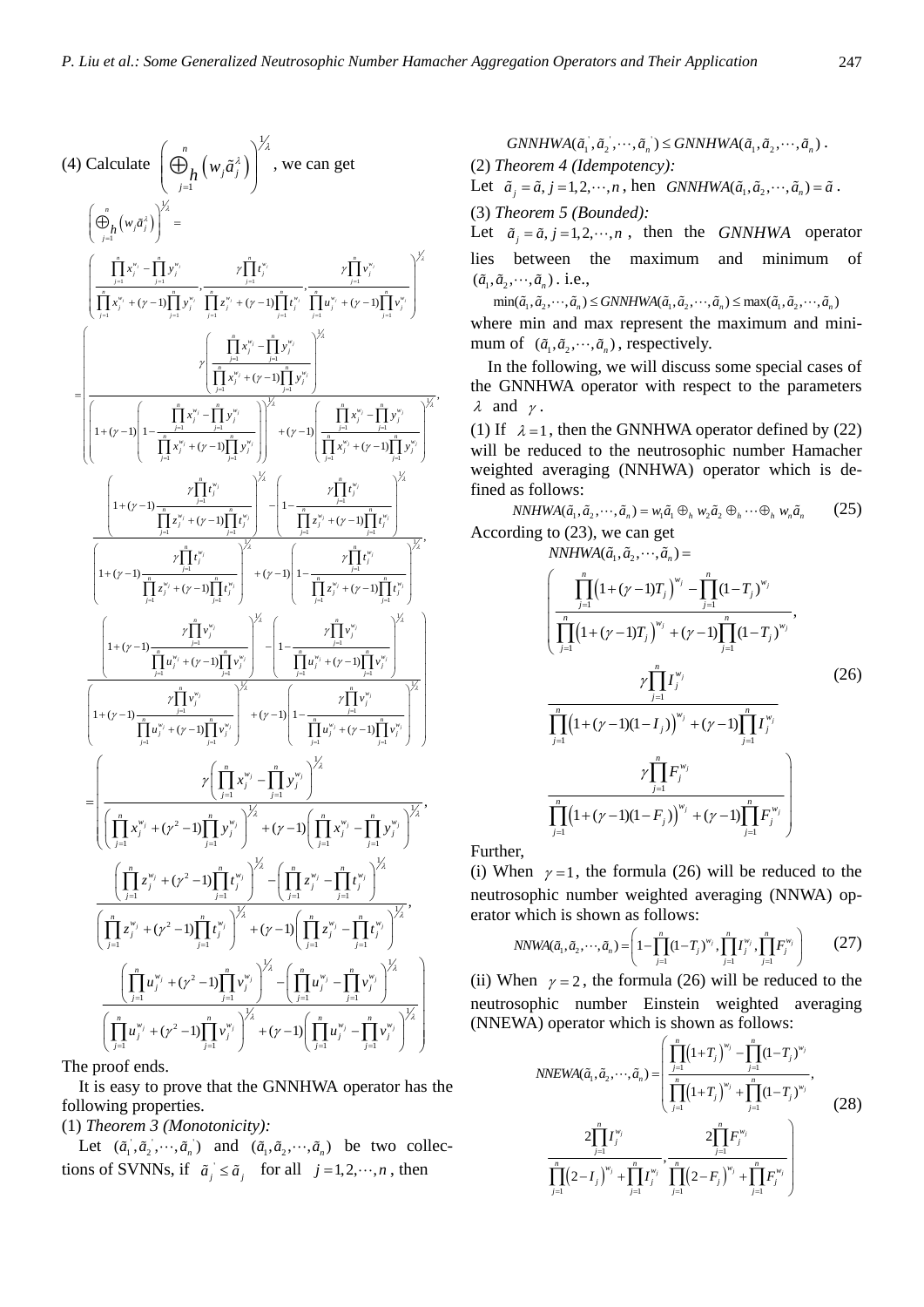$$
(4) Calculate  $\left(\frac{\theta}{p_1} \left(w_j \tilde{a}_j^x\right)\right)^{1/2}$ , we can get  
\n
$$
\left(\frac{\theta}{p_1} \left(w_j \tilde{a}_j^x\right)\right)^{1/2} =
$$
\n
$$
\left(\prod_{j=1}^{r_1} x_j^{v_j} - \prod_{j=1}^{r_1} y_j^{v_j} - \prod_{j=1}^{r_1} z_j^{v_j} + (y-1) \prod_{j=1}^{r_1} z_j^{v_j} + (y-1) \prod_{j=1}^{r_1} z_j^{v_j} \right)^{1/2}
$$
\n
$$
= \left(\frac{\prod_{j=1}^{r_1} x_j^{v_j} + (y-1) \prod_{j=1}^{r_1} y_j^{v_j}}{\prod_{j=1}^{r_1} x_j^{v_j} + (y-1) \prod_{j=1}^{r_1} y_j^{v_j}}\right)^{1/2}
$$
\n
$$
= \left(\frac{\prod_{j=1}^{r_1} x_j^{v_j} + (y-1) \prod_{j=1}^{r_1} y_j^{v_j}}{\prod_{j=1}^{r_1} x_j^{v_j} + (y-1) \prod_{j=1}^{r_1} y_j^{v_j}}\right)^{1/2}
$$
\n
$$
= \left(\frac{\prod_{j=1}^{r_1} x_j^{v_j} + (y-1) \prod_{j=1}^{r_1} y_j^{v_j}}{\prod_{j=1}^{r_1} x_j^{v_j} + (y-1) \prod_{j=1}^{r_1} y_j^{v_j}}\right)^{1/2}
$$
\n
$$
\left(\frac{\prod_{j=1}^{r_1} x_j^{v_j} + (y-1) \prod_{j=1}^{r_1} y_j^{v_j}}{\prod_{j=1}^{r_1} x_j^{v_j} + (y-1) \prod_{j=1}^{r_1} y_j^{v_j}}\right)^{1/2}
$$
\n
$$
\left(\frac{\prod_{j=1}^{r_1} x_j^{v_j} + (y-1) \prod_{j=1}^{r_1} y_j^{v_j}}{\prod_{j=1}^{r_1} x_j^{v_j} + (y-1) \prod_{j=1}^{r_1} y_j^{v_j}}\right)^{1/2}
$$
\n
$$
\left(\frac{\prod_{j=1}^{r_1
$$
$$

The proof ends.

It is easy to prove that the GNNHWA operator has the following properties.

# (1) *Theorem 3 (Monotonicity):*

Let  $(\tilde{a}_1, \tilde{a}_2, \dots, \tilde{a}_n)$  and  $(\tilde{a}_1, \tilde{a}_2, \dots, \tilde{a}_n)$  be two collections of SVNNs, if  $\tilde{a}_j \leq \tilde{a}_j$  for all  $j = 1, 2, \dots, n$ , then

GNNHWA(
$$
\tilde{a}_1
$$
,  $\tilde{a}_2$ ,  $\cdots$ ,  $\tilde{a}_n$ )  $\leq$ GNNHWA( $\tilde{a}_1$ ,  $\tilde{a}_2$ ,  $\cdots$ ,  $\tilde{a}_n$ ).  
(2) Theorem 4 (Idempotency):

Let  $\tilde{a}_j = \tilde{a}, j = 1,2,\dots, n$ , hen  $GNNHWA(\tilde{a}_1, \tilde{a}_2, \dots, \tilde{a}_n) = \tilde{a}$ .

(3) *Theorem 5 (Bounded):* 

Let  $\tilde{a}_i = \tilde{a}_i$ ,  $j = 1, 2, \dots, n$ , then the *GNNHWA* operator lies between the maximum and minimum of  $(\tilde{a}_1, \tilde{a}_2, \cdots, \tilde{a}_n)$ . i.e.,

 $\min(\tilde{a}_1, \tilde{a}_2, \cdots, \tilde{a}_n) \leq GNNHWA(\tilde{a}_1, \tilde{a}_2, \cdots, \tilde{a}_n) \leq \max(\tilde{a}_1, \tilde{a}_2, \cdots, \tilde{a}_n)$ where min and max represent the maximum and minimum of  $(\tilde{a}_1, \tilde{a}_2, \dots, \tilde{a}_n)$ , respectively.

In the following, we will discuss some special cases of the GNNHWA operator with respect to the parameters  $\lambda$  and  $\gamma$ .

(1) If  $\lambda = 1$ , then the GNNHWA operator defined by (22) will be reduced to the neutrosophic number Hamacher weighted averaging (NNHWA) operator which is defined as follows:

 $NNHWA(\tilde{a}_1, \tilde{a}_2, \cdots, \tilde{a}_n) = w_1 \tilde{a}_1 \oplus_h w_2 \tilde{a}_2 \oplus_h \cdots \oplus_h w_n \tilde{a}_n$  (25) According to (23), we can get

 $NNHWA(\tilde{a}_1, \tilde{a}_2, \cdots, \tilde{a}_n) =$ 

$$
\left(\frac{\prod_{j=1}^{n} (1+(\gamma-1)T_j)^{w_j} - \prod_{j=1}^{n} (1-T_j)^{w_j}}{\prod_{j=1}^{n} (1+(\gamma-1)T_j)^{w_j} + (\gamma-1) \prod_{j=1}^{n} (1-T_j)^{w_j}}, \frac{\gamma \prod_{j=1}^{n} I_j^{w_j}}{\prod_{j=1}^{n} (1+(\gamma-1)(1-I_j))^{w_j} + (\gamma-1) \prod_{j=1}^{n} I_j^{w_j}}\right)
$$
\n
$$
\frac{\gamma \prod_{j=1}^{n} F_j^{w_j}}{\prod_{j=1}^{n} (1+(\gamma-1)(1-F_j))^{w_j} + (\gamma-1) \prod_{j=1}^{n} F_j^{w_j}}
$$
\n
$$
\frac{\gamma \prod_{j=1}^{n} (1+(\gamma-1)(1-F_j))^{w_j} + (\gamma-1) \prod_{j=1}^{n} F_j^{w_j}}{\prod_{j=1}^{n} (1+(\gamma-1)(1-F_j))^{w_j} + (\gamma-1) \prod_{j=1}^{n} F_j^{w_j}}
$$

Further,

(i) When  $\gamma = 1$ , the formula (26) will be reduced to the neutrosophic number weighted averaging (NNWA) operator which is shown as follows:

$$
NNWA(\tilde{a}_1, \tilde{a}_2, \cdots, \tilde{a}_n) = \left(1 - \prod_{j=1}^n (1 - T_j)^{w_j}, \prod_{j=1}^n I_j^{w_j}, \prod_{j=1}^n F_j^{w_j}\right) \tag{27}
$$

(ii) When  $\gamma = 2$ , the formula (26) will be reduced to the neutrosophic number Einstein weighted averaging (NNEWA) operator which is shown as follows:

$$
NNEWA(\tilde{a}_1, \tilde{a}_2, \cdots, \tilde{a}_n) = \left( \frac{\prod_{j=1}^n (1+T_j)^{w_j} - \prod_{j=1}^n (1-T_j)^{w_j}}{\prod_{j=1}^n (1+T_j)^{w_j} + \prod_{j=1}^n (1-T_j)^{w_j}}, \frac{2\prod_{j=1}^n (1-T_j)^{w_j}}{\prod_{j=1}^n (2-I_j)^{w_j} + \prod_{j=1}^n T_j^{w_j}}, \frac{2\prod_{j=1}^n F_j^{w_j}}{\prod_{j=1}^n (2-F_j)^{w_j} + \prod_{j=1}^n F_j^{w_j}} \right)
$$
(28)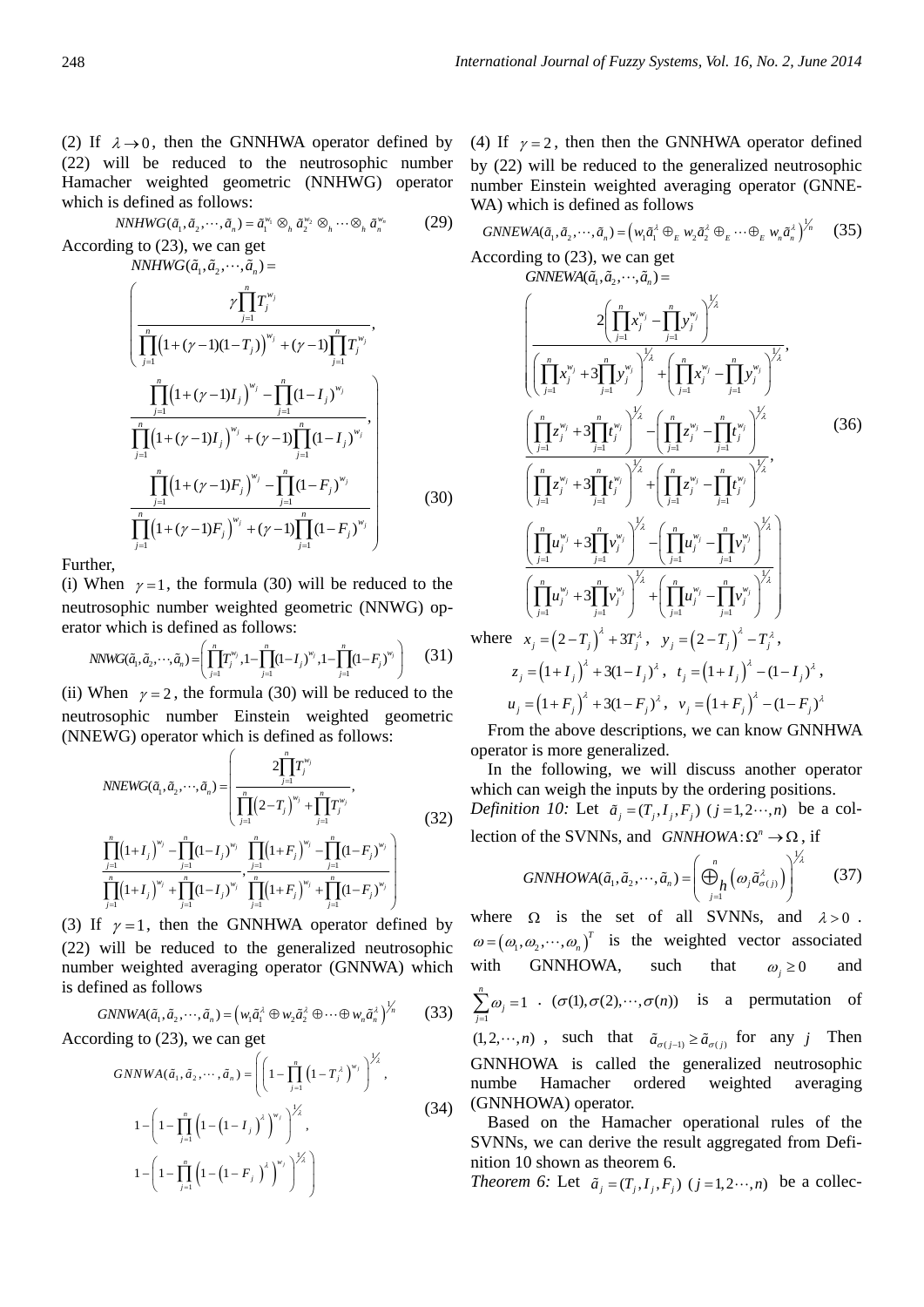(2) If  $\lambda \rightarrow 0$ , then the GNNHWA operator defined by (22) will be reduced to the neutrosophic number Hamacher weighted geometric (NNHWG) operator which is defined as follows:

$$
NNHWG(\tilde{a}_1, \tilde{a}_2, \cdots, \tilde{a}_n) = \tilde{a}_1^{w_1} \otimes_h \tilde{a}_2^{w_2} \otimes_h \cdots \otimes_h \tilde{a}_n^{w_n}
$$
(29)

According to (23), we can get

$$
NNHWG(\tilde{a}_{1}, \tilde{a}_{2}, \cdots, \tilde{a}_{n}) =
$$
\n
$$
\left(\frac{\gamma \prod_{j=1}^{n} T_{j}^{w_{j}}}{\prod_{j=1}^{n} (1 + (\gamma - 1)(1 - T_{j}))^{w_{j}} + (\gamma - 1) \prod_{j=1}^{n} T_{j}^{w_{j}}}, \frac{\prod_{j=1}^{n} (1 + (\gamma - 1)I_{j})^{w_{j}} - \prod_{j=1}^{n} (1 - I_{j})^{w_{j}}}{\prod_{j=1}^{n} (1 + (\gamma - 1)I_{j})^{w_{j}} + (\gamma - 1) \prod_{j=1}^{n} (1 - I_{j})^{w_{j}}}, \frac{\prod_{j=1}^{n} (1 + (\gamma - 1)F_{j})^{w_{j}} - \prod_{j=1}^{n} (1 - F_{j})^{w_{j}}}{\prod_{j=1}^{n} (1 + (\gamma - 1)F_{j})^{w_{j}} + (\gamma - 1) \prod_{j=1}^{n} (1 - F_{j})^{w_{j}}}\right)
$$
\n(30)

Further,

(i) When  $\gamma = 1$ , the formula (30) will be reduced to the neutrosophic number weighted geometric (NNWG) operator which is defined as follows:

$$
NNWG(\tilde{a}_1, \tilde{a}_2, \cdots, \tilde{a}_n) = \left(\prod_{j=1}^n T_j^{w_j}, 1 - \prod_{j=1}^n (1 - I_j)^{w_j}, 1 - \prod_{j=1}^n (1 - F_j)^{w_j}\right) \tag{31}
$$

(ii) When  $\gamma = 2$ , the formula (30) will be reduced to the neutrosophic number Einstein weighted geometric (NNEWG) operator which is defined as follows:

$$
NNEWG(\tilde{a}_1, \tilde{a}_2, \cdots, \tilde{a}_n) = \left(\frac{2\prod_{j=1}^n T_j^{w_j}}{\prod_{j=1}^n (2-T_j)^{w_j} + \prod_{j=1}^n T_j^{w_j}},\right)
$$
\n
$$
\prod_{j=1}^n (1+I_j)^{w_j} - \prod_{j=1}^n (1-I_j)^{w_j} \prod_{j=1}^n (1+F_j)^{w_j} - \prod_{j=1}^n (1-F_j)^{w_j}\right)
$$
\n
$$
\prod_{j=1}^n (1+I_j)^{w_j} + \prod_{j=1}^n (1-I_j)^{w_j} \prod_{j=1}^n (1+F_j)^{w_j} + \prod_{j=1}^n (1-F_j)^{w_j}\right)
$$
\n
$$
S = \{1, 2, \ldots, n\} \cup \{1, 3, \ldots, n\} \cup \{1, 4, \ldots, n\} \cup \{1, 4, \ldots, n\} \cup \{1, 4, \ldots, n\} \cup \{1, 4, \ldots, n\} \cup \{1, 4, \ldots, n\} \cup \{1, 4, \ldots, n\} \cup \{1, 4, \ldots, n\} \cup \{1, 4, \ldots, n\} \cup \{1, 4, \ldots, n\} \cup \{1, 4, \ldots, n\} \cup \{1, 4, \ldots, n\} \cup \{1, 4, \ldots, n\} \cup \{1, 4, \ldots, n\} \cup \{1, 4, \ldots, n\} \cup \{1, 4, \ldots, n\} \cup \{1, 4, \ldots, n\} \cup \{1, 4, \ldots, n\} \cup \{1, 4, \ldots, n\} \cup \{1, 4, \ldots, n\} \cup \{1, 4, \ldots, n\} \cup \{1, 4, \ldots, n\} \cup \{1, 4, \ldots, n\} \cup \{1, 4, \ldots, n\} \cup \{1, 4, \ldots, n\} \cup \{1, 4, \ldots, n\} \cup \{1, 4, \ldots, n\} \cup \{1, 4, \ldots, n\} \cup \{1, 4, \ldots, n\} \cup \{1, 4, \
$$

(3) If  $\gamma = 1$ , then the GNNHWA operator defined by (22) will be reduced to the generalized neutrosophic number weighted averaging operator (GNNWA) which is defined as follows

$$
GNNWA(\tilde{a}_1, \tilde{a}_2, \cdots, \tilde{a}_n) = (w_1 \tilde{a}_1^{\lambda} \oplus w_2 \tilde{a}_2^{\lambda} \oplus \cdots \oplus w_n \tilde{a}_n^{\lambda})^{\lambda_n}
$$
(33)

According to (23), we can get

$$
GNNWA(\tilde{a}_{1}, \tilde{a}_{2}, \cdots, \tilde{a}_{n}) = \left( \left( 1 - \prod_{j=1}^{n} \left( 1 - T_{j}^{\lambda} \right)^{w_{j}} \right)^{\lambda_{\lambda}'} , 1 - \left( 1 - \prod_{j=1}^{n} \left( 1 - \left( 1 - I_{j} \right)^{\lambda} \right)^{w_{j}} \right)^{\lambda_{\lambda}'} , 1 - \left( 1 - \prod_{j=1}^{n} \left( 1 - \left( 1 - F_{j} \right)^{\lambda} \right)^{w_{j}} \right)^{\lambda_{\lambda}'} \right)
$$
\n(34)

(4) If  $\gamma = 2$ , then then the GNNHWA operator defined by (22) will be reduced to the generalized neutrosophic number Einstein weighted averaging operator (GNNE-WA) which is defined as follows

GNNEWA(
$$
\tilde{a}_1, \tilde{a}_2, \dots, \tilde{a}_n
$$
) = ( $w_1 \tilde{a}_1^{\lambda} \oplus_E w_2 \tilde{a}_2^{\lambda} \oplus_E \dots \oplus_E w_n \tilde{a}_n^{\lambda}$ )<sup>1/n</sup> (35)  
According to (23), we can get

 $GNNEWA(\tilde{a}_1, \tilde{a}_2, \cdots, \tilde{a}_n) =$ 

$$
\left(\frac{2\left(\prod_{j=1}^{n}x_{j}^{w_{j}}-\prod_{j=1}^{n}y_{j}^{w_{j}}\right)^{\frac{1}{\lambda}}}{\left(\prod_{j=1}^{n}x_{j}^{w_{j}}+3\prod_{j=1}^{n}y_{j}^{w_{j}}\right)^{\frac{1}{\lambda}}+\left(\prod_{j=1}^{n}x_{j}^{w_{j}}-\prod_{j=1}^{n}y_{j}^{w_{j}}\right)^{\frac{1}{\lambda}}}
$$
\n
$$
\frac{\left(\prod_{j=1}^{n}z_{j}^{w_{j}}+3\prod_{j=1}^{n}t_{j}^{w_{j}}\right)^{\frac{1}{\lambda}}-\left(\prod_{j=1}^{n}z_{j}^{w_{j}}-\prod_{j=1}^{n}t_{j}^{w_{j}}\right)^{\frac{1}{\lambda}}}{\left(\prod_{j=1}^{n}z_{j}^{w_{j}}+3\prod_{j=1}^{n}t_{j}^{w_{j}}\right)^{\frac{1}{\lambda}}+\left(\prod_{j=1}^{n}z_{j}^{w_{j}}-\prod_{j=1}^{n}t_{j}^{w_{j}}\right)^{\frac{1}{\lambda}}}
$$
\n
$$
\left(\prod_{j=1}^{n}u_{j}^{w_{j}}+3\prod_{j=1}^{n}v_{j}^{w_{j}}\right)^{\frac{1}{\lambda}}-\left(\prod_{j=1}^{n}u_{j}^{w_{j}}-\prod_{j=1}^{n}v_{j}^{w_{j}}\right)^{\frac{1}{\lambda}}}{\left(\prod_{j=1}^{n}u_{j}^{w_{j}}+3\prod_{j=1}^{n}v_{j}^{w_{j}}\right)^{\frac{1}{\lambda}}+\left(\prod_{j=1}^{n}u_{j}^{w_{j}}-\prod_{j=1}^{n}v_{j}^{w_{j}}\right)^{\frac{1}{\lambda}}}
$$
\n
$$
\geq x_{j}=\left(2-T_{j}\right)^{\lambda}+3T_{j}^{\lambda}, y_{j}=\left(2-T_{j}\right)^{\lambda}-T_{j}^{\lambda},
$$

where 
$$
x_j = (2 - T_j)^2 + 3T_j^2
$$
,  $y_j = (2 - T_j)^2 - T_j^2$ ,  
\n $z_j = (1 + I_j)^2 + 3(1 - I_j)^2$ ,  $t_j = (1 + I_j)^2 - (1 - I_j)^2$ ,  
\n $u_j = (1 + F_j)^2 + 3(1 - F_j)^2$ ,  $v_j = (1 + F_j)^2 - (1 - F_j)^2$ 

From the above descriptions, we can know GNNHWA operator is more generalized.

In the following, we will discuss another operator which can weigh the inputs by the ordering positions. *Definition 10:* Let  $\tilde{a}_i = (T_i, I_i, F_i)$   $(j = 1, 2 \cdots, n)$  be a collection of the SVNNs, and  $GNNHOWA: \Omega^n \to \Omega$ , if

$$
GNNHOWA(\tilde{a}_1, \tilde{a}_2, \cdots, \tilde{a}_n) = \left(\bigoplus_{j=1}^n \left(\omega_j \tilde{a}_{\sigma(j)}^{\lambda}\right)\right)^{\frac{1}{\lambda}} \tag{37}
$$

where  $\Omega$  is the set of all SVNNs, and  $\lambda > 0$ .  $\omega = (\omega_1, \omega_2, \cdots, \omega_n)^T$  is the weighted vector associated with GNNHOWA, such that  $\omega_i \ge 0$  and 1  $\sum_{i=1}^{n} \omega_i = 1$  $\sum_{j=1}$ <sup> $\omega$ </sup>  $\omega$  $\sum_{j=1}^{n} \omega_j = 1$  ( $\sigma(1), \sigma(2), \dots, \sigma(n)$ ) is a permutation of  $(1, 2, \dots, n)$ , such that  $\tilde{a}_{\sigma(j-1)} \geq \tilde{a}_{\sigma(j)}$  for any *j* Then GNNHOWA is called the generalized neutrosophic numbe Hamacher ordered weighted averaging (GNNHOWA) operator.

Based on the Hamacher operational rules of the SVNNs, we can derive the result aggregated from Definition 10 shown as theorem 6.

*Theorem 6:* Let  $\tilde{a}_i = (T_i, I_i, F_i)$   $(j = 1, 2 \cdots, n)$  be a collec-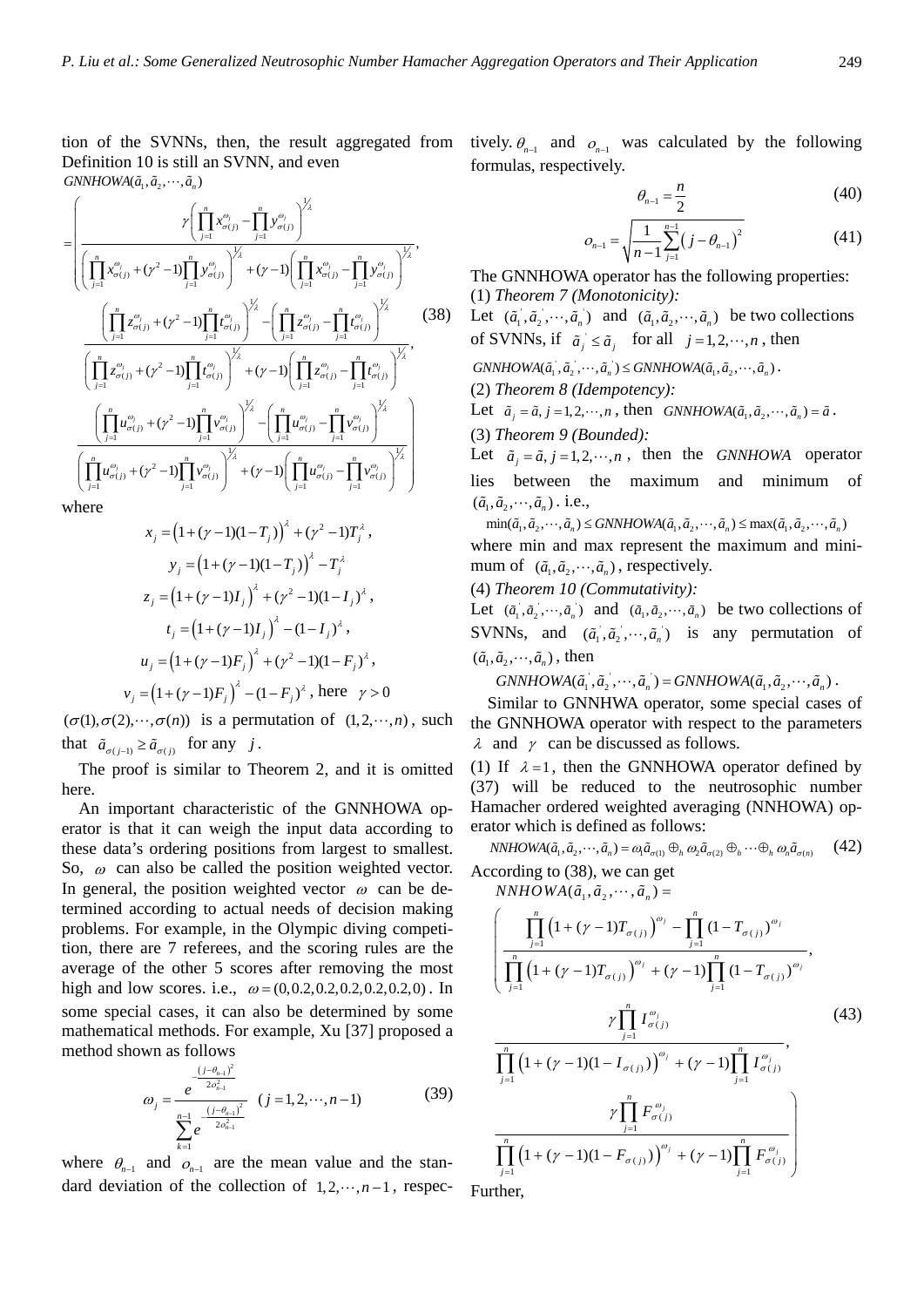tion of the SVNNs, then, the result aggregated from Definition 10 is still an SVNN, and even  $GNNHOWA(\tilde{a}_1, \tilde{a}_2, \cdots, \tilde{a}_n)$ 

$$
= \left(\frac{\gamma \left(\prod_{j=1}^{n} x_{\sigma(j)}^{\omega_{j}} - \prod_{j=1}^{n} y_{\sigma(j)}^{\omega_{j}}\right)^{\frac{1}{2}}}{\left(\prod_{j=1}^{n} x_{\sigma(j)}^{\omega_{j}} + (\gamma^{2} - 1) \prod_{j=1}^{n} y_{\sigma(j)}^{\omega_{j}}\right)^{\frac{1}{2}} + (\gamma - 1) \left(\prod_{j=1}^{n} x_{\sigma(j)}^{\omega_{j}} - \prod_{j=1}^{n} y_{\sigma(j)}^{\omega_{j}}\right)^{\frac{1}{2}}},\right)
$$
\n
$$
\frac{\left(\prod_{j=1}^{n} z_{\sigma(j)}^{\omega_{j}} + (\gamma^{2} - 1) \prod_{j=1}^{n} t_{\sigma(j)}^{\omega_{j}}\right)^{\frac{1}{2}} - \left(\prod_{j=1}^{n} z_{\sigma(j)}^{\omega_{j}} - \prod_{j=1}^{n} t_{\sigma(j)}^{\omega_{j}}\right)^{\frac{1}{2}}}{\left(\prod_{j=1}^{n} z_{\sigma(j)}^{\omega_{j}} + (\gamma^{2} - 1) \prod_{j=1}^{n} t_{\sigma(j)}^{\omega_{j}}\right)^{\frac{1}{2}} + (\gamma - 1) \left(\prod_{j=1}^{n} z_{\sigma(j)}^{\omega_{j}} - \prod_{j=1}^{n} t_{\sigma(j)}^{\omega_{j}}\right)^{\frac{1}{2}}},\right)
$$
\n
$$
\frac{\left(\prod_{j=1}^{n} u_{\sigma(j)}^{\omega_{j}} + (\gamma^{2} - 1) \prod_{j=1}^{n} v_{\sigma(j)}^{\omega_{j}}\right)^{\frac{1}{2}} - \left(\prod_{j=1}^{n} u_{\sigma(j)}^{\omega_{j}} - \prod_{j=1}^{n} v_{\sigma(j)}^{\omega_{j}}\right)^{\frac{1}{2}}}{\left(\prod_{j=1}^{n} u_{\sigma(j)}^{\omega_{j}} + (\gamma^{2} - 1) \prod_{j=1}^{n} v_{\sigma(j)}^{\omega_{j}}\right)^{\frac{1}{2}} + (\gamma - 1) \left(\prod_{j=1}^{n} u_{\sigma(j)}^{\omega_{j}} - \prod_{j=1}^{n} v_{\sigma(j)}^{\omega_{j}}\right)^{\frac{1}{2}}}\right)}
$$
\nwhere

where

$$
x_j = (1 + (\gamma - 1)(1 - T_j))^{2} + (\gamma^{2} - 1)T_j^{2},
$$
  
\n
$$
y_j = (1 + (\gamma - 1)(1 - T_j))^{2} - T_j^{2}
$$
  
\n
$$
z_j = (1 + (\gamma - 1)I_j)^{2} + (\gamma^{2} - 1)(1 - I_j)^{2},
$$
  
\n
$$
t_j = (1 + (\gamma - 1)I_j)^{2} - (1 - I_j)^{2},
$$
  
\n
$$
u_j = (1 + (\gamma - 1)F_j)^{2} + (\gamma^{2} - 1)(1 - F_j)^{2},
$$
  
\n
$$
v_j = (1 + (\gamma - 1)F_j)^{2} - (1 - F_j)^{2}, \text{ here } \gamma > 0
$$

 $(\sigma(1), \sigma(2), \cdots, \sigma(n))$  is a permutation of  $(1, 2, \cdots, n)$ , such that  $\tilde{a}_{\sigma(i-1)} \geq \tilde{a}_{\sigma(i)}$  for any *j*.

 The proof is similar to Theorem 2, and it is omitted here.

An important characteristic of the GNNHOWA operator is that it can weigh the input data according to these data's ordering positions from largest to smallest. So,  $\omega$  can also be called the position weighted vector. In general, the position weighted vector  $\omega$  can be determined according to actual needs of decision making problems. For example, in the Olympic diving competition, there are 7 referees, and the scoring rules are the average of the other 5 scores after removing the most high and low scores. i.e.,  $\omega = (0, 0.2, 0.2, 0.2, 0.2, 0.2, 0)$ . In some special cases, it can also be determined by some mathematical methods. For example, Xu [37] proposed a method shown as follows

$$
\omega_{j} = \frac{e^{-\frac{(j-\theta_{n-1})^{2}}{2\sigma_{n-1}^{2}}}}{\sum_{k=1}^{n-1} e^{-\frac{(j-\theta_{n-1})^{2}}{2\sigma_{n-1}^{2}}}} (j=1,2,\cdots,n-1)
$$
(39)

where  $\theta_{n-1}$  and  $\theta_{n-1}$  are the mean value and the standard deviation of the collection of  $1, 2, \dots, n-1$ , respectively.  $\theta_{n-1}$  and  $\theta_{n-1}$  was calculated by the following formulas, respectively.

$$
\theta_{n-1} = \frac{n}{2} \tag{40}
$$

$$
o_{n-1} = \sqrt{\frac{1}{n-1} \sum_{j=1}^{n-1} (j - \theta_{n-1})^2}
$$
 (41)

The GNNHOWA operator has the following properties: (1) *Theorem 7 (Monotonicity):*

Let  $(\tilde{a}_1, \tilde{a}_2, \dots, \tilde{a}_n)$  and  $(\tilde{a}_1, \tilde{a}_2, \dots, \tilde{a}_n)$  be two collections of SVNNs, if  $\tilde{a}_j \leq \tilde{a}_j$  for all  $j = 1, 2, \dots, n$ , then

 $GNNHOWA(\tilde{a}_1, \tilde{a}_2, \cdots, \tilde{a}_n) \leq GNNHOWA(\tilde{a}_1, \tilde{a}_2, \cdots, \tilde{a}_n)$ .

(2) *Theorem 8 (Idempotency):*

Let  $\tilde{a}_i = \tilde{a}_i$ ,  $j = 1, 2, \dots, n$ , then  $GNNHOWA(\tilde{a}_1, \tilde{a}_2, \dots, \tilde{a}_n) = \tilde{a}$ .

(3) *Theorem 9 (Bounded):*

Let  $\tilde{a}_i = \tilde{a}_i, j = 1,2,\dots, n$ , then the *GNNHOWA* operator lies between the maximum and minimum of  $(\tilde{a}_1, \tilde{a}_2, \cdots, \tilde{a}_n)$ . i.e.,

 $\min(\tilde{a}_1, \tilde{a}_2, \cdots, \tilde{a}_n) \leq GNNHOWA(\tilde{a}_1, \tilde{a}_2, \cdots, \tilde{a}_n) \leq \max(\tilde{a}_1, \tilde{a}_2, \cdots, \tilde{a}_n)$ where min and max represent the maximum and minimum of  $(\tilde{a}_1, \tilde{a}_2, \dots, \tilde{a}_n)$ , respectively.

(4) *Theorem 10 (Commutativity):*

Let  $(\tilde{a}_1, \tilde{a}_2, \dots, \tilde{a}_n)$  and  $(\tilde{a}_1, \tilde{a}_2, \dots, \tilde{a}_n)$  be two collections of SVNNs, and  $(\tilde{a}_1, \tilde{a}_2, \dots, \tilde{a}_n)$  is any permutation of  $(\tilde{a}_1, \tilde{a}_2, \dots, \tilde{a}_n)$ , then

 $GNNHOWA(\tilde{a}_1, \tilde{a}_2, \cdots, \tilde{a}_n) = GNNHOWA(\tilde{a}_1, \tilde{a}_2, \cdots, \tilde{a}_n)$ .

Similar to GNNHWA operator, some special cases of the GNNHOWA operator with respect to the parameters  $\lambda$  and  $\gamma$  can be discussed as follows.

(1) If  $\lambda = 1$ , then the GNNHOWA operator defined by (37) will be reduced to the neutrosophic number Hamacher ordered weighted averaging (NNHOWA) operator which is defined as follows:

 $NNHOWA(\tilde{a}_1, \tilde{a}_2, \cdots, \tilde{a}_n) = \omega_1 \tilde{a}_{\sigma(1)} \oplus_h \omega_2 \tilde{a}_{\sigma(2)} \oplus_h \cdots \oplus_h \omega_n \tilde{a}_{\sigma(n)}$  (42) According to (38), we can get

 $NNHOWA(\tilde{a}_1, \tilde{a}_2, \cdots, \tilde{a}_n) =$ 

$$
\left(\frac{\prod_{j=1}^{n} (1+(\gamma-1)T_{\sigma(j)})^{\omega_{j}} - \prod_{j=1}^{n} (1-T_{\sigma(j)})^{\omega_{j}}}{\prod_{j=1}^{n} (1+(\gamma-1)T_{\sigma(j)})^{\omega_{j}} + (\gamma-1)\prod_{j=1}^{n} (1-T_{\sigma(j)})^{\omega_{j}}}, \frac{\gamma \prod_{j=1}^{n} I_{\sigma(j)}^{\omega_{j}}}{\prod_{j=1}^{n} (1+(\gamma-1)(1-I_{\sigma(j)}))^{\omega_{j}} + (\gamma-1)\prod_{j=1}^{n} I_{\sigma(j)}^{\omega_{j}}}, \frac{\gamma \prod_{j=1}^{n} F_{\sigma(j)}^{\omega_{j}}}{\prod_{j=1}^{n} (1+(\gamma-1)(1-F_{\sigma(j)})^{\omega_{j}} + (\gamma-1)\prod_{j=1}^{n} F_{\sigma(j)}^{\omega_{j}}}\right)
$$
\n(43)

 $j=1$ 

Further,

 $j=1$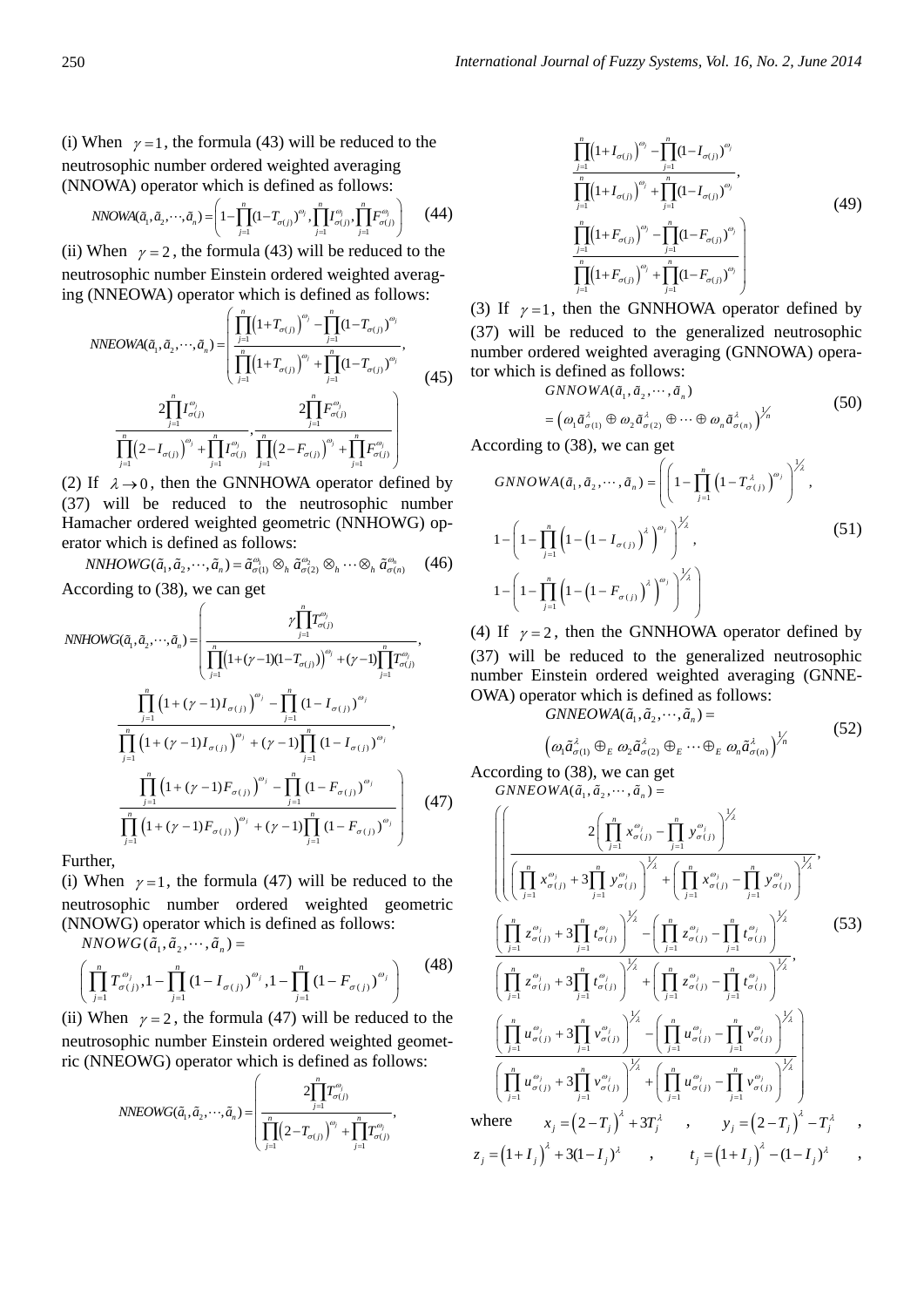(i) When  $\gamma = 1$ , the formula (43) will be reduced to the neutrosophic number ordered weighted averaging (NNOWA) operator which is defined as follows:

NNOWA(
$$
\tilde{a}_1, \tilde{a}_2, \dots, \tilde{a}_n
$$
) =  $\left(1 - \prod_{j=1}^n (1 - T_{\sigma(j)})^{\omega_j}, \prod_{j=1}^n I_{\sigma(j)}^{\omega_j}, \prod_{j=1}^n F_{\sigma(j)}^{\omega_j}\right)$  (44)

(ii) When  $\gamma = 2$ , the formula (43) will be reduced to the neutrosophic number Einstein ordered weighted averaging (NNEOWA) operator which is defined as follows:

$$
NNEOWA(\tilde{a}_{1}, \tilde{a}_{2}, \cdots, \tilde{a}_{n}) = \left(\frac{\prod_{j=1}^{n} (1 + T_{\sigma(j)})^{\omega_{j}} - \prod_{j=1}^{n} (1 - T_{\sigma(j)})^{\omega_{j}}}{\prod_{j=1}^{n} (1 + T_{\sigma(j)})^{\omega_{j}} + \prod_{j=1}^{n} (1 - T_{\sigma(j)})^{\omega_{j}}}, \frac{2\prod_{j=1}^{n} I^{\omega_{j}}_{\sigma(j)}}{\prod_{j=1}^{n} (2 - I_{\sigma(j)})^{\omega_{j}} + \prod_{j=1}^{n} I^{\omega_{j}}_{\sigma(j)}}, \frac{2\prod_{j=1}^{n} F^{\omega_{j}}_{\sigma(j)}}{\prod_{j=1}^{n} (2 - F_{\sigma(j)})^{\omega_{j}} + \prod_{j=1}^{n} F^{\omega_{j}}_{\sigma(j)}}\right)
$$
(45)

(2) If  $\lambda \rightarrow 0$ , then the GNNHOWA operator defined by (37) will be reduced to the neutrosophic number Hamacher ordered weighted geometric (NNHOWG) operator which is defined as follows:

 $NNHOWG(\tilde{a}_1, \tilde{a}_2, \cdots, \tilde{a}_n) = \tilde{a}_{\sigma(1)}^{\omega_1} \otimes_h \tilde{a}_{\sigma(2)}^{\omega_2} \otimes_h \cdots \otimes_h \tilde{a}_{\sigma(n)}^{\omega_n}$  (46)

According to (38), we can get

NNHOWG(
$$
\tilde{a}_1, \tilde{a}_2, \dots, \tilde{a}_n
$$
) = 
$$
\left( \frac{\gamma \prod_{j=1}^n T_{\sigma(j)}^{\omega_j}}{\prod_{j=1}^n (1 + (\gamma - 1)(1 - T_{\sigma(j)})^{\omega_j} + (\gamma - 1) \prod_{j=1}^n T_{\sigma(j)}^{\omega_j}}, \frac{\prod_{j=1}^n (1 + (\gamma - 1)I_{\sigma(j)})^{\omega_j} - \prod_{j=1}^n (1 - I_{\sigma(j)})^{\omega_j}}{\prod_{j=1}^n (1 + (\gamma - 1)I_{\sigma(j)})^{\omega_j} + (\gamma - 1) \prod_{j=1}^n (1 - I_{\sigma(j)})^{\omega_j}}, \frac{\prod_{j=1}^n (1 + (\gamma - 1)F_{\sigma(j)})^{\omega_j} - \prod_{j=1}^n (1 - F_{\sigma(j)})^{\omega_j}}{\prod_{j=1}^n (1 + (\gamma - 1)F_{\sigma(j)})^{\omega_j} + (\gamma - 1) \prod_{j=1}^n (1 - F_{\sigma(j)})^{\omega_j}} \right) (47)
$$

Further,

(i) When  $\gamma = 1$ , the formula (47) will be reduced to the neutrosophic number ordered weighted geometric (NNOWG) operator which is defined as follows:

 $NNOWG(\tilde{a}_1, \tilde{a}_2, \cdots, \tilde{a}_n) =$ 

$$
\left(\prod_{j=1}^{n} T_{\sigma(j)}^{\omega_j}, 1-\prod_{j=1}^{n} (1-I_{\sigma(j)})^{\omega_j}, 1-\prod_{j=1}^{n} (1-F_{\sigma(j)})^{\omega_j}\right) \tag{48}
$$

(ii) When  $\gamma = 2$ , the formula (47) will be reduced to the neutrosophic number Einstein ordered weighted geometric (NNEOWG) operator which is defined as follows:

$$
NNEOWG(\tilde{a}_1, \tilde{a}_2, \cdots, \tilde{a}_n) = \left(\frac{2\prod_{j=1}^n T_{\sigma(j)}^{\omega_j}}{\prod_{j=1}^n (2 - T_{\sigma(j)})^{\omega_j} + \prod_{j=1}^n T_{\sigma(j)}^{\omega_j}},\right)
$$

$$
\frac{\prod_{j=1}^{n} (1 + I_{\sigma(j)})^{\omega_j} - \prod_{j=1}^{n} (1 - I_{\sigma(j)})^{\omega_j}}{\prod_{j=1}^{n} (1 + I_{\sigma(j)})^{\omega_j} + \prod_{j=1}^{n} (1 - I_{\sigma(j)})^{\omega_j}},
$$
\n
$$
\frac{\prod_{j=1}^{n} (1 + F_{\sigma(j)})^{\omega_j} - \prod_{j=1}^{n} (1 - F_{\sigma(j)})^{\omega_j}}{\prod_{j=1}^{n} (1 + F_{\sigma(j)})^{\omega_j} + \prod_{j=1}^{n} (1 - F_{\sigma(j)})^{\omega_j}}
$$
\n
$$
(49)
$$

(3) If  $\gamma = 1$ , then the GNNHOWA operator defined by (37) will be reduced to the generalized neutrosophic number ordered weighted averaging (GNNOWA) operator which is defined as follows:

$$
GNNOWA(\tilde{a}_1, \tilde{a}_2, \cdots, \tilde{a}_n)
$$
  
=  $(\omega_1 \tilde{a}_{\sigma(1)}^{\lambda} \oplus \omega_2 \tilde{a}_{\sigma(2)}^{\lambda} \oplus \cdots \oplus \omega_n \tilde{a}_{\sigma(n)}^{\lambda})^{\frac{1}{n}}$  (50)

According to (38), we can get

$$
GNNOWA(\tilde{a}_1, \tilde{a}_2, \cdots, \tilde{a}_n) = \left( \left( 1 - \prod_{j=1}^n \left( 1 - T_{\sigma(j)}^{\lambda} \right)^{\omega_j} \right)^{\frac{1}{\lambda}},
$$
  

$$
1 - \left( 1 - \prod_{j=1}^n \left( 1 - \left( 1 - I_{\sigma(j)} \right)^{\lambda} \right)^{\omega_j} \right)^{\frac{1}{\lambda}},
$$
  

$$
1 - \left( 1 - \prod_{j=1}^n \left( 1 - \left( 1 - F_{\sigma(j)} \right)^{\lambda} \right)^{\omega_j} \right)^{\frac{1}{\lambda}} \right)
$$
  

$$
(51)
$$

(4) If  $\gamma = 2$ , then the GNNHOWA operator defined by (37) will be reduced to the generalized neutrosophic number Einstein ordered weighted averaging (GNNE-OWA) operator which is defined as follows:

$$
GNNEOWA(\tilde{a}_1, \tilde{a}_2, \cdots, \tilde{a}_n) =
$$
\n
$$
\left(\omega_1 \tilde{a}_{\sigma(1)}^{\lambda} \oplus_E \omega_2 \tilde{a}_{\sigma(2)}^{\lambda} \oplus_E \cdots \oplus_E \omega_n \tilde{a}_{\sigma(n)}^{\lambda}\right)^{1/n}
$$
\n(52)

According to (38), we can get  $GNNEOWA(\tilde{a}_1, \tilde{a}_2, \cdots, \tilde{a}_n) =$ 

$$
\left(\left(\prod_{j=1}^{n} x_{\sigma(j)}^{\omega_{j}} + 3\prod_{j=1}^{n} y_{\sigma(j)}^{\omega_{j}}\right)^{1/2} + \left(\prod_{j=1}^{n} x_{\sigma(j)}^{\omega_{j}} - \prod_{j=1}^{n} y_{\sigma(j)}^{\omega_{j}}\right)^{1/2} \right)
$$
\n
$$
\left(\prod_{j=1}^{n} z_{\sigma(j)}^{\omega_{j}} + 3\prod_{j=1}^{n} t_{\sigma(j)}^{\omega_{j}}\right)^{1/2} - \left(\prod_{j=1}^{n} z_{\sigma(j)}^{\omega_{j}} - \prod_{j=1}^{n} t_{\sigma(j)}^{\omega_{j}}\right)^{1/2} \left(\prod_{j=1}^{n} z_{\sigma(j)}^{\omega_{j}} + 3\prod_{j=1}^{n} t_{\sigma(j)}^{\omega_{j}}\right)^{1/2} + \left(\prod_{j=1}^{n} z_{\sigma(j)}^{\omega_{j}} - \prod_{j=1}^{n} t_{\sigma(j)}^{\omega_{j}}\right)^{1/2} \left(\frac{33}{2}\right)
$$
\n
$$
\left(\prod_{j=1}^{n} z_{\sigma(j)}^{\omega_{j}} + 3\prod_{j=1}^{n} t_{\sigma(j)}^{\omega_{j}}\right)^{1/2} + \left(\prod_{j=1}^{n} z_{\sigma(j)}^{\omega_{j}} - \prod_{j=1}^{n} t_{\sigma(j)}^{\omega_{j}}\right)^{1/2} \left(\prod_{j=1}^{n} u_{\sigma(j)}^{\omega_{j}} + 3\prod_{j=1}^{n} v_{\sigma(j)}^{\omega_{j}}\right)^{1/2} + \left(\prod_{j=1}^{n} u_{\sigma(j)}^{\omega_{j}} - \prod_{j=1}^{n} v_{\sigma(j)}^{\omega_{j}}\right)^{1/2} \left(\prod_{j=1}^{n} u_{\sigma(j)}^{\omega_{j}} + 3\prod_{j=1}^{n} v_{\sigma(j)}^{\omega_{j}}\right)^{1/2} + \left(\prod_{j=1}^{n} u_{\sigma(j)}^{\omega_{j}} - \prod_{j=1}^{n} v_{\sigma(j)}^{\omega_{j}}\right)^{1/2} \left(\frac{1}{2} + \left(\frac{1}{2} + \left(\frac{1}{2} + \frac{1}{2}\right)^{2} - \left(\frac{1
$$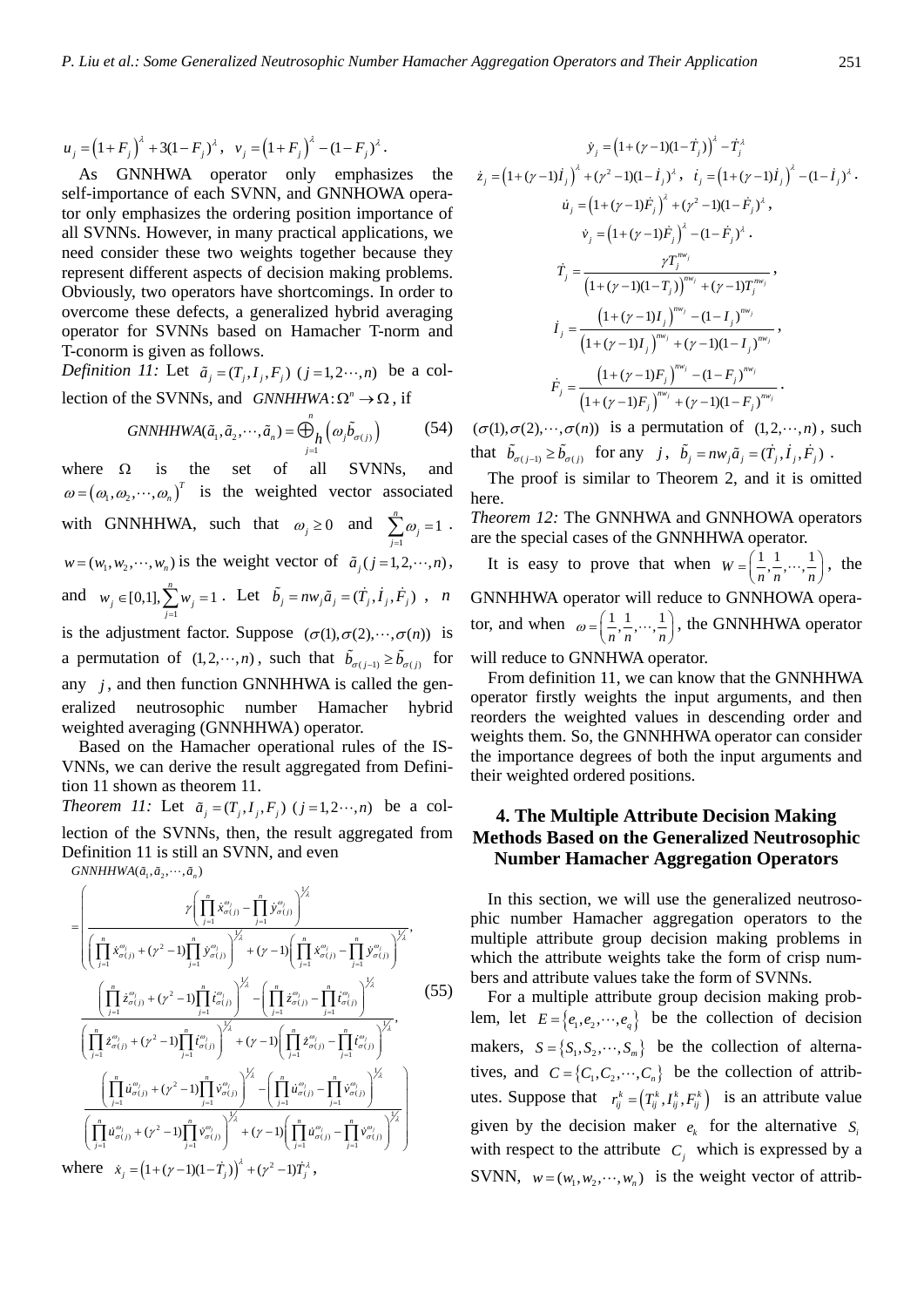$$
u_j = (1 + F_j)^{\lambda} + 3(1 - F_j)^{\lambda}, v_j = (1 + F_j)^{\lambda} - (1 - F_j)^{\lambda}.
$$

As GNNHWA operator only emphasizes the self-importance of each SVNN, and GNNHOWA operator only emphasizes the ordering position importance of all SVNNs. However, in many practical applications, we need consider these two weights together because they represent different aspects of decision making problems. Obviously, two operators have shortcomings. In order to overcome these defects, a generalized hybrid averaging operator for SVNNs based on Hamacher T-norm and T-conorm is given as follows.

*Definition 11:* Let  $\tilde{a}_i = (T_i, I_i, F_j)$   $(j = 1, 2 \cdots, n)$  be a collection of the SVNNs, and  $GNNHHWA: \Omega^n \to \Omega$ , if

$$
GNNHHWA(\tilde{a}_1, \tilde{a}_2, \cdots, \tilde{a}_n) = \bigoplus_{j=1}^n \left(\omega_j \tilde{b}_{\sigma(j)}\right) \tag{54}
$$

where  $\Omega$  is the set of all SVNNs, and  $\omega = (\omega_1, \omega_2, \cdots, \omega_n)^T$  is the weighted vector associated with GNNHHWA, such that  $\omega_j \ge 0$  and  $\sum_{j=1}^n \omega_j = 1$  $\sum_{j=1}^{\omega}$  $\omega$  $\sum_{j=1}^n \omega_j = 1$ .  $w = (w_1, w_2, \dots, w_n)$  is the weight vector of  $\tilde{a}$ ,  $(j = 1, 2, \dots, n)$ , and  $w_j \in [0,1], \sum_{j=1}^n w_j = 1$  $j \in [0,1], \sum_{j=1}^W w_j$  $w_i \in [0,1], \sum w_i$  $\epsilon \in [0,1], \sum_{j=1}^{n} w_j = 1$ . Let  $\tilde{b}_j = n w_j \tilde{a}_j = (\dot{T}_j, \dot{I}_j, \dot{F}_j)$ , *n* is the adjustment factor. Suppose  $(\sigma(1), \sigma(2), \dots, \sigma(n))$  is a permutation of  $(1, 2, \dots, n)$ , such that  $\tilde{b}_{\sigma(j-1)} \ge \tilde{b}_{\sigma(j)}$  for any  $j$ , and then function GNNHHWA is called the generalized neutrosophic number Hamacher hybrid weighted averaging (GNNHHWA) operator.

Based on the Hamacher operational rules of the IS-VNNs, we can derive the result aggregated from Definition 11 shown as theorem 11. *Theorem 11:* Let  $\tilde{a}_i = (T_i, I_i, F_i)$   $(j = 1, 2 \cdots, n)$  be a collection of the SVNNs, then, the result aggregated from

Definition 11 is still an SVNN, and even  $GNNHHWA(\tilde{a}_1, \tilde{a}_2, \cdots, \tilde{a}_n)$ 

$$
= \left( \frac{\gamma \left( \prod_{j=1}^{n} \dot{x}_{\sigma(j)}^{\omega_{j}} - \prod_{j=1}^{n} \dot{y}_{\sigma(j)}^{\omega_{j}} \right)^{\frac{1}{2}}}{\left( \prod_{j=1}^{n} \dot{x}_{\sigma(j)}^{\omega_{j}} + (\gamma^{2} - 1) \prod_{j=1}^{n} \dot{y}_{\sigma(j)}^{\omega_{j}} \right)^{\frac{1}{2}} + (\gamma - 1) \left( \prod_{j=1}^{n} \dot{x}_{\sigma(j)}^{\omega_{j}} - \prod_{j=1}^{n} \dot{y}_{\sigma(j)}^{\omega_{j}} \right)^{\frac{1}{2}}},
$$
\n
$$
\frac{\left( \prod_{j=1}^{n} \dot{z}_{\sigma(j)}^{\omega_{j}} + (\gamma^{2} - 1) \prod_{j=1}^{n} \dot{t}_{\sigma(j)}^{\omega_{j}} \right)^{\frac{1}{2}} - \left( \prod_{j=1}^{n} \dot{z}_{\sigma(j)}^{\omega_{j}} - \prod_{j=1}^{n} \dot{t}_{\sigma(j)}^{\omega_{j}} \right)^{\frac{1}{2}}}{\left( \prod_{j=1}^{n} \dot{z}_{\sigma(j)}^{\omega_{j}} + (\gamma^{2} - 1) \prod_{j=1}^{n} \dot{t}_{\sigma(j)}^{\omega_{j}} \right)^{\frac{1}{2}} + (\gamma - 1) \left( \prod_{j=1}^{n} \dot{z}_{\sigma(j)}^{\omega_{j}} - \prod_{j=1}^{n} \dot{t}_{\sigma(j)}^{\omega_{j}} \right)^{\frac{1}{2}}},
$$
\n
$$
\frac{\left( \prod_{j=1}^{n} \dot{u}_{\sigma(j)}^{\omega_{j}} + (\gamma^{2} - 1) \prod_{j=1}^{n} \dot{v}_{\sigma(j)}^{\omega_{j}} \right)^{\frac{1}{2}} - \left( \prod_{j=1}^{n} \dot{u}_{\sigma(j)}^{\omega_{j}} - \prod_{j=1}^{n} \dot{v}_{\sigma(j)}^{\omega_{j}} \right)^{\frac{1}{2}}}{\left( \prod_{j=1}^{n} \dot{u}_{\sigma(j)}^{\omega_{j}} + (\gamma^{2} - 1) \prod_{j=1}^{n} \dot{v}_{\sigma(j)}^{\omega_{j}} \right)^{\frac{1}{2}} + (\gamma - 1) \left( \prod_{j=1}^{n} \dot{u}_{\
$$

$$
\dot{y}_{j} = (1 + (\gamma - 1)(1 - \dot{T}_{j}))^{2} - \dot{T}_{j}^{\lambda}
$$
\n
$$
\dot{z}_{j} = (1 + (\gamma - 1)\dot{I}_{j})^{2} + (\gamma^{2} - 1)(1 - \dot{I}_{j})^{\lambda}, \quad \dot{t}_{j} = (1 + (\gamma - 1)\dot{I}_{j})^{2} - (1 - \dot{I}_{j})^{\lambda}.
$$
\n
$$
\dot{u}_{j} = (1 + (\gamma - 1)\dot{F}_{j})^{2} + (\gamma^{2} - 1)(1 - \dot{F}_{j})^{\lambda},
$$
\n
$$
\dot{v}_{j} = (1 + (\gamma - 1)\dot{F}_{j})^{2} - (1 - \dot{F}_{j})^{\lambda}.
$$
\n
$$
\dot{T}_{j} = \frac{\gamma T_{j}^{m v_{j}}}{\left(1 + (\gamma - 1)(1 - T_{j})\right)^{m v_{j}} + (\gamma - 1)T_{j}^{m v_{j}}},
$$
\n
$$
\dot{I}_{j} = \frac{\left(1 + (\gamma - 1)I_{j}\right)^{m v_{j}} - (1 - I_{j})^{m v_{j}}}{\left(1 + (\gamma - 1)I_{j}\right)^{m v_{j}} + (\gamma - 1)(1 - I_{j})^{m v_{j}}},
$$
\n
$$
\dot{F}_{j} = \frac{\left(1 + (\gamma - 1)F_{j}\right)^{m v_{j}} - (1 - F_{j})^{m v_{j}}}{\left(1 + (\gamma - 1)F_{j}\right)^{m v_{j}} + (\gamma - 1)(1 - F_{j})^{m v_{j}}}.
$$

 $(\sigma(1), \sigma(2), \cdots, \sigma(n))$  is a permutation of  $(1, 2, \cdots, n)$ , such that  $\tilde{b}_{\sigma(i-1)} \ge \tilde{b}_{\sigma(i)}$  for any *j*,  $\tilde{b}_i = nw_i \tilde{a}_i = (\dot{T}_i, \dot{I}_i, \dot{F}_i)$ .

 The proof is similar to Theorem 2, and it is omitted here.

*Theorem 12:* The GNNHWA and GNNHOWA operators are the special cases of the GNNHHWA operator.

It is easy to prove that when  $W = \left(\frac{1}{n}, \frac{1}{n}, \dots, \frac{1}{n}\right)$ , the GNNHHWA operator will reduce to GNNHOWA operator, and when  $\omega = \left(\frac{1}{n}, \frac{1}{n}, \dots, \frac{1}{n}\right)$ , the GNNHHWA operator will reduce to GNNHWA operator.

 From definition 11, we can know that the GNNHHWA operator firstly weights the input arguments, and then reorders the weighted values in descending order and weights them. So, the GNNHHWA operator can consider the importance degrees of both the input arguments and their weighted ordered positions.

# **4. The Multiple Attribute Decision Making Methods Based on the Generalized Neutrosophic Number Hamacher Aggregation Operators**

In this section, we will use the generalized neutrosophic number Hamacher aggregation operators to the multiple attribute group decision making problems in which the attribute weights take the form of crisp numbers and attribute values take the form of SVNNs.

For a multiple attribute group decision making problem, let  $E = \{e_1, e_2, \dots, e_q\}$  be the collection of decision makers,  $S = \{S_1, S_2, \dots, S_m\}$  be the collection of alternatives, and  $C = \{C_1, C_2, \dots, C_n\}$  be the collection of attributes. Suppose that  $r_{ij}^k = (T_{ij}^k, I_{ij}^k, F_{ij}^k)$  is an attribute value given by the decision maker  $e_k$  for the alternative  $S_i$ with respect to the attribute  $C_i$  which is expressed by a SVNN,  $w = (w_1, w_2, \dots, w_n)$  is the weight vector of attrib-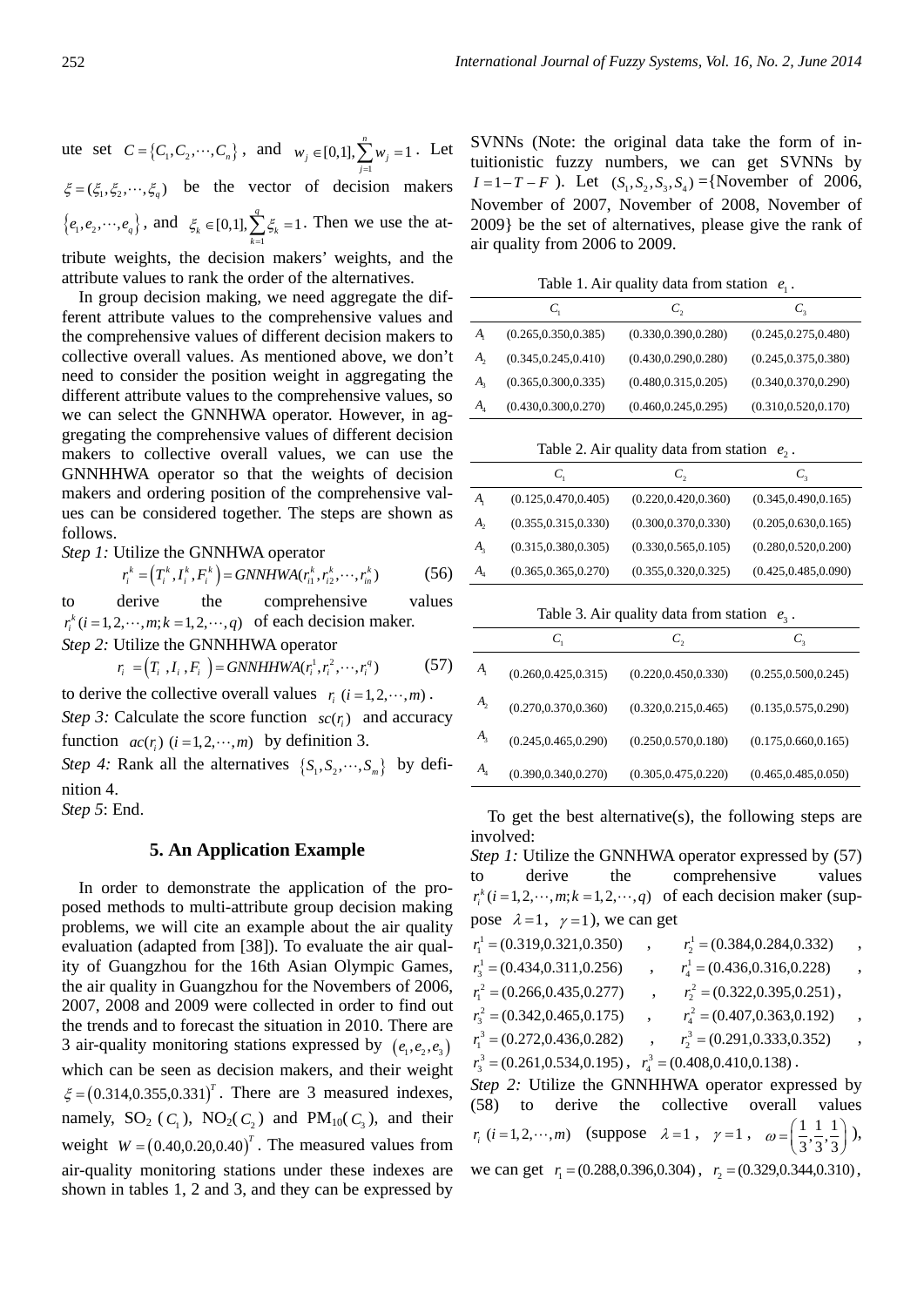ute set  $C = \{C_1, C_2, \dots, C_n\}$ , and  $w_j \in [0,1], \sum_{j=1}^n w_j = 1$  $j \in [0,1], \sum_{j=1}^W w_j$  $w_i \in [0,1], \sum w_i$  $\in [0,1], \sum_{j=1}^{n} w_j = 1$ . Let  $\xi = (\xi_1, \xi_2, \dots, \xi_n)$  be the vector of decision makers  $\{e_1, e_2, \dots, e_q\}$ , and  $\xi_k \in [0,1], \sum_{k=1}^q \xi_k = 1$  $k \in \{0, 1\}$ ,  $\sum_{k=1}^{k} 5k$  $\xi_k \in [0,1], \sum_i \xi_i$  $\in [0,1], \sum_{k=1}^{1} \xi_k = 1$ . Then we use the attribute weights, the decision makers' weights, and the attribute values to rank the order of the alternatives.

In group decision making, we need aggregate the different attribute values to the comprehensive values and the comprehensive values of different decision makers to collective overall values. As mentioned above, we don't need to consider the position weight in aggregating the different attribute values to the comprehensive values, so we can select the GNNHWA operator. However, in aggregating the comprehensive values of different decision makers to collective overall values, we can use the GNNHHWA operator so that the weights of decision makers and ordering position of the comprehensive values can be considered together. The steps are shown as follows.

*Step 1:* Utilize the GNNHWA operator

$$
r_i^k = (T_i^k, I_i^k, F_i^k) = \text{GNNHWA}(r_{i1}^k, r_{i2}^k, \cdots, r_{in}^k)
$$
 (56)

to derive the comprehensive values  $r_i^k$  (*i* = 1,2,  $\cdots$ , *m*; *k* = 1,2,  $\cdots$ , *q*) of each decision maker. *Step 2:* Utilize the GNNHHWA operator

$$
r_i = (T_i, I_i, F_i) = \text{GNNHHWA}(r_i^1, r_i^2, \cdots, r_i^q) \tag{57}
$$

to derive the collective overall values  $r_i$  ( $i = 1, 2, \dots, m$ ).

*Step 3:* Calculate the score function  $\mathit{sc}(r)$  and accuracy function  $ac(r_i)$   $(i = 1, 2, \dots, m)$  by definition 3.

*Step 4:* Rank all the alternatives  $\{S_1, S_2, \dots, S_m\}$  by definition 4.

*Step 5*: End.

# **5. An Application Example**

In order to demonstrate the application of the proposed methods to multi-attribute group decision making problems, we will cite an example about the air quality evaluation (adapted from [38]). To evaluate the air quality of Guangzhou for the 16th Asian Olympic Games, the air quality in Guangzhou for the Novembers of 2006, 2007, 2008 and 2009 were collected in order to find out the trends and to forecast the situation in 2010. There are 3 air-quality monitoring stations expressed by  $(e_1, e_2, e_3)$ which can be seen as decision makers, and their weight  $\xi = (0.314, 0.355, 0.331)^T$ . There are 3 measured indexes, namely,  $SO_2$  ( $C_1$ ),  $NO_2$ ( $C_2$ ) and  $PM_{10}$ ( $C_3$ ), and their weight  $W = (0.40, 0.20, 0.40)^T$ . The measured values from air-quality monitoring stations under these indexes are shown in tables 1, 2 and 3, and they can be expressed by

SVNNs (Note: the original data take the form of intuitionistic fuzzy numbers, we can get SVNNs by  $I = 1 - T - F$ ). Let  $(S_1, S_2, S_3, S_4) = \{November of 2006,$ November of 2007, November of 2008, November of 2009} be the set of alternatives, please give the rank of air quality from 2006 to 2009.

Table 1. Air quality data from station  $e_1$ .

|                             | C,                    | C,                    | $C_{3}$               |
|-----------------------------|-----------------------|-----------------------|-----------------------|
| $A_{\scriptscriptstyle 1}$  | (0.265, 0.350, 0.385) | (0.330, 0.390, 0.280) | (0.245, 0.275, 0.480) |
| А,                          | (0.345, 0.245, 0.410) | (0.430, 0.290, 0.280) | (0.245, 0.375, 0.380) |
| А,                          | (0.365, 0.300, 0.335) | (0.480, 0.315, 0.205) | (0.340, 0.370, 0.290) |
| $A_{\scriptscriptstyle{A}}$ | (0.430, 0.300, 0.270) | (0.460, 0.245, 0.295) | (0.310, 0.520, 0.170) |

Table 2. Air quality data from station  $e_2$ .

|                             | $C_{1}$               | C,                    | $C_{3}$               |
|-----------------------------|-----------------------|-----------------------|-----------------------|
| $A_{\scriptscriptstyle 1}$  | (0.125, 0.470, 0.405) | (0.220, 0.420, 0.360) | (0.345, 0.490, 0.165) |
| A,                          | (0.355, 0.315, 0.330) | (0.300, 0.370, 0.330) | (0.205, 0.630, 0.165) |
| $A_{\rm a}$                 | (0.315, 0.380, 0.305) | (0.330, 0.565, 0.105) | (0.280, 0.520, 0.200) |
| $A_{\scriptscriptstyle{A}}$ | (0.365, 0.365, 0.270) | (0.355, 0.320, 0.325) | (0.425, 0.485, 0.090) |

Table 3. Air quality data from station  $e_3$ .

|                | $C_1$                 | C,                    | $\mathsf{C}_3$        |
|----------------|-----------------------|-----------------------|-----------------------|
| $A_{\rm i}$    | (0.260, 0.425, 0.315) | (0.220, 0.450, 0.330) | (0.255, 0.500, 0.245) |
| A <sub>2</sub> | (0.270, 0.370, 0.360) | (0.320, 0.215, 0.465) | (0.135, 0.575, 0.290) |
| $A_{\rm s}$    | (0.245, 0.465, 0.290) | (0.250, 0.570, 0.180) | (0.175, 0.660, 0.165) |
| A <sub>4</sub> | (0.390, 0.340, 0.270) | (0.305, 0.475, 0.220) | (0.465, 0.485, 0.050) |

To get the best alternative(s), the following steps are involved:

*Step 1:* Utilize the GNNHWA operator expressed by (57) to derive the comprehensive values  $r_i^k$  (*i* = 1, 2,  $\cdots$ , *m*; *k* = 1, 2,  $\cdots$ , *q*) of each decision maker (suppose  $\lambda = 1$ ,  $\gamma = 1$ ), we can get

| $r_1^1$ = (0.319,0.321,0.350)                                       | $r_2^1$ = (0.384,0.284,0.332)  | $\cdot$              |
|---------------------------------------------------------------------|--------------------------------|----------------------|
| $r_3^1$ = (0.434,0.311,0.256)                                       | $r_4^1$ = (0.436,0.316,0.228)  |                      |
| $r_1^2$ = (0.266,0.435,0.277)                                       | $r_2^2$ = (0.322,0.395,0.251), |                      |
| $r_3^2$ = (0.342,0.465,0.175)                                       | $r_4^2$ = (0.407,0.363,0.192)  | $\ddot{\phantom{0}}$ |
| $r_1^3$ = (0.272,0.436,0.282)                                       | $r_2^3$ = (0.291,0.333,0.352)  |                      |
| $r_3^3 = (0.261, 0.534, 0.195)$ , $r_4^3 = (0.408, 0.410, 0.138)$ . |                                |                      |
|                                                                     |                                |                      |

*Step 2:* Utilize the GNNHHWA operator expressed by (58) to derive the collective overall values  $r_i$  (*i* = 1, 2, ...,*m*) (suppose  $\lambda = 1$ ,  $\gamma = 1$ ,  $\omega = \left(\frac{1}{3}, \frac{1}{3}, \frac{1}{3}\right)$  $=\left(\frac{1}{3},\frac{1}{3},\frac{1}{3}\right)$ ), we can get  $r_1 = (0.288, 0.396, 0.304)$ ,  $r_2 = (0.329, 0.344, 0.310)$ ,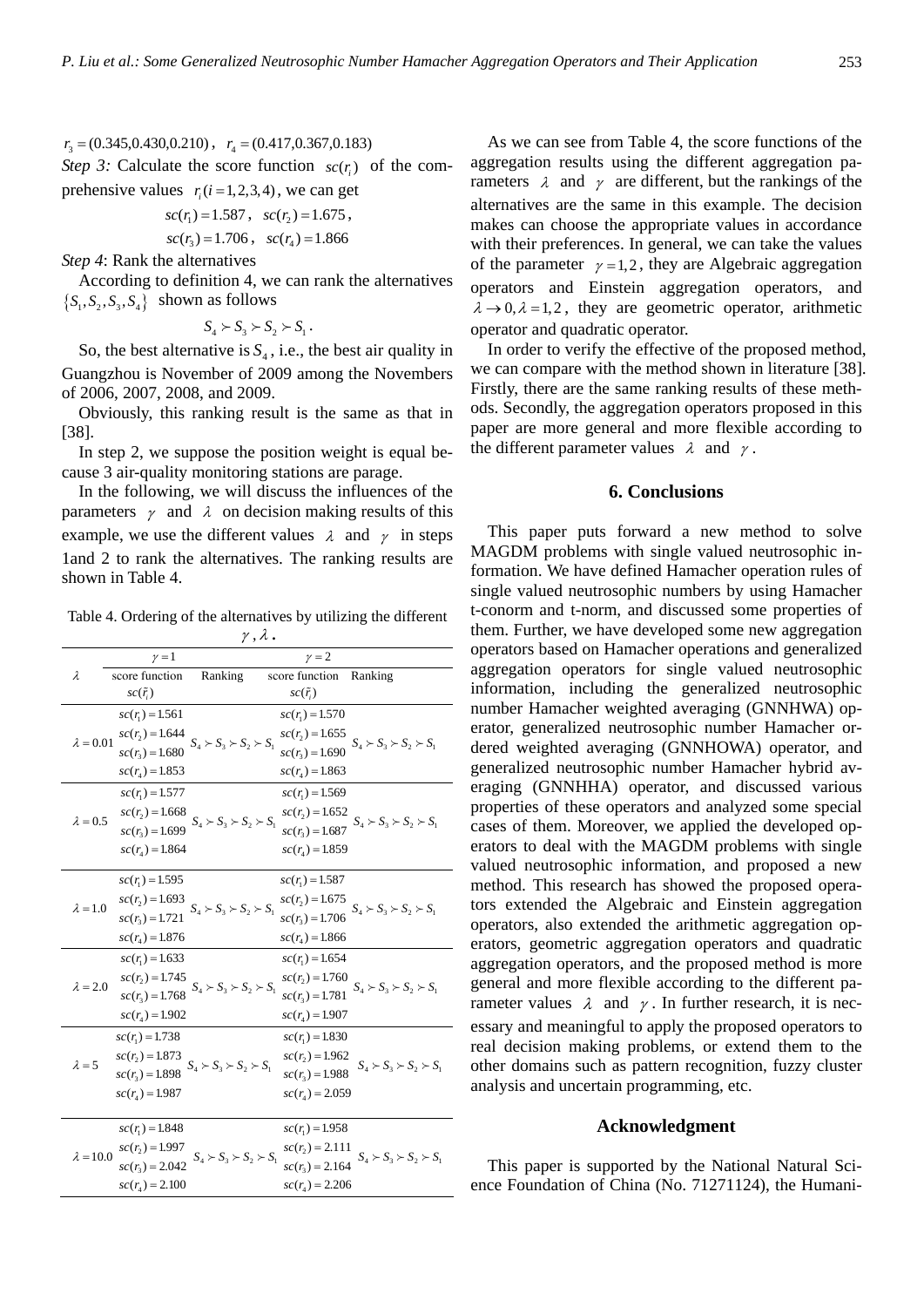$r_3 = (0.345, 0.430, 0.210)$ ,  $r_4 = (0.417, 0.367, 0.183)$ *Step 3:* Calculate the score function  $\mathfrak{so}(r)$  of the com-

prehensive values  $r_i(i=1,2,3,4)$ , we can get

$$
sc(r_1) = 1.587, sc(r_2) = 1.675,
$$
  

$$
sc(r_3) = 1.706, sc(r_4) = 1.866
$$

*Step 4*: Rank the alternatives

According to definition 4, we can rank the alternatives  $\{S_1, S_2, S_3, S_4\}$  shown as follows

$$
S_4 \succ S_3 \succ S_2 \succ S_1.
$$

So, the best alternative is  $S_4$ , i.e., the best air quality in Guangzhou is November of 2009 among the Novembers of 2006, 2007, 2008, and 2009.

Obviously, this ranking result is the same as that in [38].

In step 2, we suppose the position weight is equal because 3 air-quality monitoring stations are parage.

In the following, we will discuss the influences of the parameters  $\gamma$  and  $\lambda$  on decision making results of this example, we use the different values  $\lambda$  and  $\gamma$  in steps 1and 2 to rank the alternatives. The ranking results are shown in Table 4.

Table 4. Ordering of the alternatives by utilizing the different , **.**

| $\nu = 1$<br>$\nu = 2$<br>score function<br>Ranking<br>score function Ranking<br>$\lambda$<br>$sc(\tilde{r}_i)$<br>$sc(\tilde{r}_i)$<br>$sc(r_i) = 1.561$<br>$sc(r_i) = 1.570$<br>$sc(r_2) = 1.644$<br>$sc(r_2) = 1.655$<br>$S_4 \succ S_3 \succ S_2 \succ S_1$<br>$\lambda = 0.01$<br>$sc(r_3) = 1.690$ $S_4 > S_3 > S_2 > S_1$<br>$sc(r_1) = 1.680$<br>$sc(r_4) = 1.853$<br>$sc(r_4) = 1.863$<br>$sc(r_i) = 1.577$<br>$sc(r_1) = 1.569$<br>$sc(r_2) = 1.668$<br>$sc(r_2) = 1.652$<br>$\lambda=0.5$<br>$sc(r_3) = 1.699$ $S_4 > S_3 > S_2 > S_1$<br>$sc(r_3) = 1.687$ $S_4 > S_3 > S_2 > S_1$<br>$sc(r_4) = 1.864$<br>$sc(r_{A}) = 1.859$<br>$sc(r_1) = 1.595$<br>$sc(r_1) = 1.587$<br>$sc(r_2) = 1.693$<br>$sc(r_2) = 1.675$<br>$\boldsymbol{S}_4\succ \boldsymbol{S}_3\succ \boldsymbol{S}_2\succ \boldsymbol{S}_1$<br>$\lambda = 1.0$<br>$sc(r_3) = 1.706$ $S_4 > S_3 > S_2 > S_1$<br>$sc(r_1) = 1.721$<br>$sc(r_4) = 1.876$<br>$sc(r_4) = 1.866$<br>$sc(r_i) = 1.633$<br>$sc(r_1) = 1.654$<br>$sc(r_2) = 1.745$<br>$sc(r_2) = 1.760$<br>$sc(r_3) = 1.768$ $S_4 > S_3 > S_2 > S_1$<br>$\lambda = 2.0$<br>$sc(r_3) = 1.781$ $S_4 > S_3 > S_2 > S_1$<br>$sc(r_4) = 1.902$<br>$sc(r_4) = 1.907$<br>$sc(r_1) = 1.738$<br>$sc(r_i) = 1.830$<br>$sc(r_2) = 1.873$<br>$sc(r_2) = 1.962$<br>$\lambda = 5$<br>$S_4 \succ S_3 \succ S_2 \succ S_1$<br>$S_4 \succ S_3 \succ S_2 \succ S_1$<br>$sc(r_1) = 1.898$ |  |  |  |                   |                                     |  |
|----------------------------------------------------------------------------------------------------------------------------------------------------------------------------------------------------------------------------------------------------------------------------------------------------------------------------------------------------------------------------------------------------------------------------------------------------------------------------------------------------------------------------------------------------------------------------------------------------------------------------------------------------------------------------------------------------------------------------------------------------------------------------------------------------------------------------------------------------------------------------------------------------------------------------------------------------------------------------------------------------------------------------------------------------------------------------------------------------------------------------------------------------------------------------------------------------------------------------------------------------------------------------------------------------------------------------------------------------------------------------------------------------------|--|--|--|-------------------|-------------------------------------|--|
|                                                                                                                                                                                                                                                                                                                                                                                                                                                                                                                                                                                                                                                                                                                                                                                                                                                                                                                                                                                                                                                                                                                                                                                                                                                                                                                                                                                                          |  |  |  |                   |                                     |  |
|                                                                                                                                                                                                                                                                                                                                                                                                                                                                                                                                                                                                                                                                                                                                                                                                                                                                                                                                                                                                                                                                                                                                                                                                                                                                                                                                                                                                          |  |  |  |                   |                                     |  |
|                                                                                                                                                                                                                                                                                                                                                                                                                                                                                                                                                                                                                                                                                                                                                                                                                                                                                                                                                                                                                                                                                                                                                                                                                                                                                                                                                                                                          |  |  |  |                   |                                     |  |
|                                                                                                                                                                                                                                                                                                                                                                                                                                                                                                                                                                                                                                                                                                                                                                                                                                                                                                                                                                                                                                                                                                                                                                                                                                                                                                                                                                                                          |  |  |  |                   |                                     |  |
|                                                                                                                                                                                                                                                                                                                                                                                                                                                                                                                                                                                                                                                                                                                                                                                                                                                                                                                                                                                                                                                                                                                                                                                                                                                                                                                                                                                                          |  |  |  |                   |                                     |  |
|                                                                                                                                                                                                                                                                                                                                                                                                                                                                                                                                                                                                                                                                                                                                                                                                                                                                                                                                                                                                                                                                                                                                                                                                                                                                                                                                                                                                          |  |  |  |                   |                                     |  |
|                                                                                                                                                                                                                                                                                                                                                                                                                                                                                                                                                                                                                                                                                                                                                                                                                                                                                                                                                                                                                                                                                                                                                                                                                                                                                                                                                                                                          |  |  |  |                   |                                     |  |
|                                                                                                                                                                                                                                                                                                                                                                                                                                                                                                                                                                                                                                                                                                                                                                                                                                                                                                                                                                                                                                                                                                                                                                                                                                                                                                                                                                                                          |  |  |  |                   |                                     |  |
|                                                                                                                                                                                                                                                                                                                                                                                                                                                                                                                                                                                                                                                                                                                                                                                                                                                                                                                                                                                                                                                                                                                                                                                                                                                                                                                                                                                                          |  |  |  |                   |                                     |  |
|                                                                                                                                                                                                                                                                                                                                                                                                                                                                                                                                                                                                                                                                                                                                                                                                                                                                                                                                                                                                                                                                                                                                                                                                                                                                                                                                                                                                          |  |  |  |                   |                                     |  |
|                                                                                                                                                                                                                                                                                                                                                                                                                                                                                                                                                                                                                                                                                                                                                                                                                                                                                                                                                                                                                                                                                                                                                                                                                                                                                                                                                                                                          |  |  |  |                   |                                     |  |
|                                                                                                                                                                                                                                                                                                                                                                                                                                                                                                                                                                                                                                                                                                                                                                                                                                                                                                                                                                                                                                                                                                                                                                                                                                                                                                                                                                                                          |  |  |  |                   |                                     |  |
|                                                                                                                                                                                                                                                                                                                                                                                                                                                                                                                                                                                                                                                                                                                                                                                                                                                                                                                                                                                                                                                                                                                                                                                                                                                                                                                                                                                                          |  |  |  |                   |                                     |  |
|                                                                                                                                                                                                                                                                                                                                                                                                                                                                                                                                                                                                                                                                                                                                                                                                                                                                                                                                                                                                                                                                                                                                                                                                                                                                                                                                                                                                          |  |  |  |                   |                                     |  |
|                                                                                                                                                                                                                                                                                                                                                                                                                                                                                                                                                                                                                                                                                                                                                                                                                                                                                                                                                                                                                                                                                                                                                                                                                                                                                                                                                                                                          |  |  |  |                   |                                     |  |
|                                                                                                                                                                                                                                                                                                                                                                                                                                                                                                                                                                                                                                                                                                                                                                                                                                                                                                                                                                                                                                                                                                                                                                                                                                                                                                                                                                                                          |  |  |  |                   |                                     |  |
|                                                                                                                                                                                                                                                                                                                                                                                                                                                                                                                                                                                                                                                                                                                                                                                                                                                                                                                                                                                                                                                                                                                                                                                                                                                                                                                                                                                                          |  |  |  |                   |                                     |  |
|                                                                                                                                                                                                                                                                                                                                                                                                                                                                                                                                                                                                                                                                                                                                                                                                                                                                                                                                                                                                                                                                                                                                                                                                                                                                                                                                                                                                          |  |  |  |                   |                                     |  |
|                                                                                                                                                                                                                                                                                                                                                                                                                                                                                                                                                                                                                                                                                                                                                                                                                                                                                                                                                                                                                                                                                                                                                                                                                                                                                                                                                                                                          |  |  |  |                   |                                     |  |
|                                                                                                                                                                                                                                                                                                                                                                                                                                                                                                                                                                                                                                                                                                                                                                                                                                                                                                                                                                                                                                                                                                                                                                                                                                                                                                                                                                                                          |  |  |  |                   |                                     |  |
|                                                                                                                                                                                                                                                                                                                                                                                                                                                                                                                                                                                                                                                                                                                                                                                                                                                                                                                                                                                                                                                                                                                                                                                                                                                                                                                                                                                                          |  |  |  |                   |                                     |  |
|                                                                                                                                                                                                                                                                                                                                                                                                                                                                                                                                                                                                                                                                                                                                                                                                                                                                                                                                                                                                                                                                                                                                                                                                                                                                                                                                                                                                          |  |  |  |                   |                                     |  |
|                                                                                                                                                                                                                                                                                                                                                                                                                                                                                                                                                                                                                                                                                                                                                                                                                                                                                                                                                                                                                                                                                                                                                                                                                                                                                                                                                                                                          |  |  |  | $sc(r_2) = 1.988$ |                                     |  |
| $sc(r_{A}) = 2.059$<br>$sc(r_{A}) = 1.987$                                                                                                                                                                                                                                                                                                                                                                                                                                                                                                                                                                                                                                                                                                                                                                                                                                                                                                                                                                                                                                                                                                                                                                                                                                                                                                                                                               |  |  |  |                   |                                     |  |
| $sc(r_1) = 1.848$<br>$sc(r_1) = 1.958$                                                                                                                                                                                                                                                                                                                                                                                                                                                                                                                                                                                                                                                                                                                                                                                                                                                                                                                                                                                                                                                                                                                                                                                                                                                                                                                                                                   |  |  |  |                   |                                     |  |
| $sc(r_2) = 1.997$<br>$sc(r_2) = 2.111$                                                                                                                                                                                                                                                                                                                                                                                                                                                                                                                                                                                                                                                                                                                                                                                                                                                                                                                                                                                                                                                                                                                                                                                                                                                                                                                                                                   |  |  |  |                   |                                     |  |
| $S_4 \succ S_3 \succ S_2 \succ S_1$<br>$\lambda = 10.0$<br>$sc(r_3) = 2.042$<br>$sc(r_1) = 2.164$                                                                                                                                                                                                                                                                                                                                                                                                                                                                                                                                                                                                                                                                                                                                                                                                                                                                                                                                                                                                                                                                                                                                                                                                                                                                                                        |  |  |  |                   | $S_4 \succ S_3 \succ S_2 \succ S_1$ |  |
| $sc(r_4) = 2.206$<br>$sc(r_4) = 2.100$                                                                                                                                                                                                                                                                                                                                                                                                                                                                                                                                                                                                                                                                                                                                                                                                                                                                                                                                                                                                                                                                                                                                                                                                                                                                                                                                                                   |  |  |  |                   |                                     |  |

As we can see from Table 4, the score functions of the aggregation results using the different aggregation parameters  $\lambda$  and  $\gamma$  are different, but the rankings of the alternatives are the same in this example. The decision makes can choose the appropriate values in accordance with their preferences. In general, we can take the values of the parameter  $\nu = 1,2$ , they are Algebraic aggregation operators and Einstein aggregation operators, and  $\lambda \rightarrow 0, \lambda = 1,2$ , they are geometric operator, arithmetic operator and quadratic operator.

In order to verify the effective of the proposed method, we can compare with the method shown in literature [38]. Firstly, there are the same ranking results of these methods. Secondly, the aggregation operators proposed in this paper are more general and more flexible according to the different parameter values  $\lambda$  and  $\gamma$ .

## **6. Conclusions**

This paper puts forward a new method to solve MAGDM problems with single valued neutrosophic information. We have defined Hamacher operation rules of single valued neutrosophic numbers by using Hamacher t-conorm and t-norm, and discussed some properties of them. Further, we have developed some new aggregation operators based on Hamacher operations and generalized aggregation operators for single valued neutrosophic information, including the generalized neutrosophic number Hamacher weighted averaging (GNNHWA) operator, generalized neutrosophic number Hamacher ordered weighted averaging (GNNHOWA) operator, and generalized neutrosophic number Hamacher hybrid averaging (GNNHHA) operator, and discussed various properties of these operators and analyzed some special cases of them. Moreover, we applied the developed operators to deal with the MAGDM problems with single valued neutrosophic information, and proposed a new method. This research has showed the proposed operators extended the Algebraic and Einstein aggregation operators, also extended the arithmetic aggregation operators, geometric aggregation operators and quadratic aggregation operators, and the proposed method is more general and more flexible according to the different parameter values  $\lambda$  and  $\gamma$ . In further research, it is necessary and meaningful to apply the proposed operators to real decision making problems, or extend them to the other domains such as pattern recognition, fuzzy cluster analysis and uncertain programming, etc.

#### **Acknowledgment**

This paper is supported by the National Natural Science Foundation of China (No. 71271124), the Humani-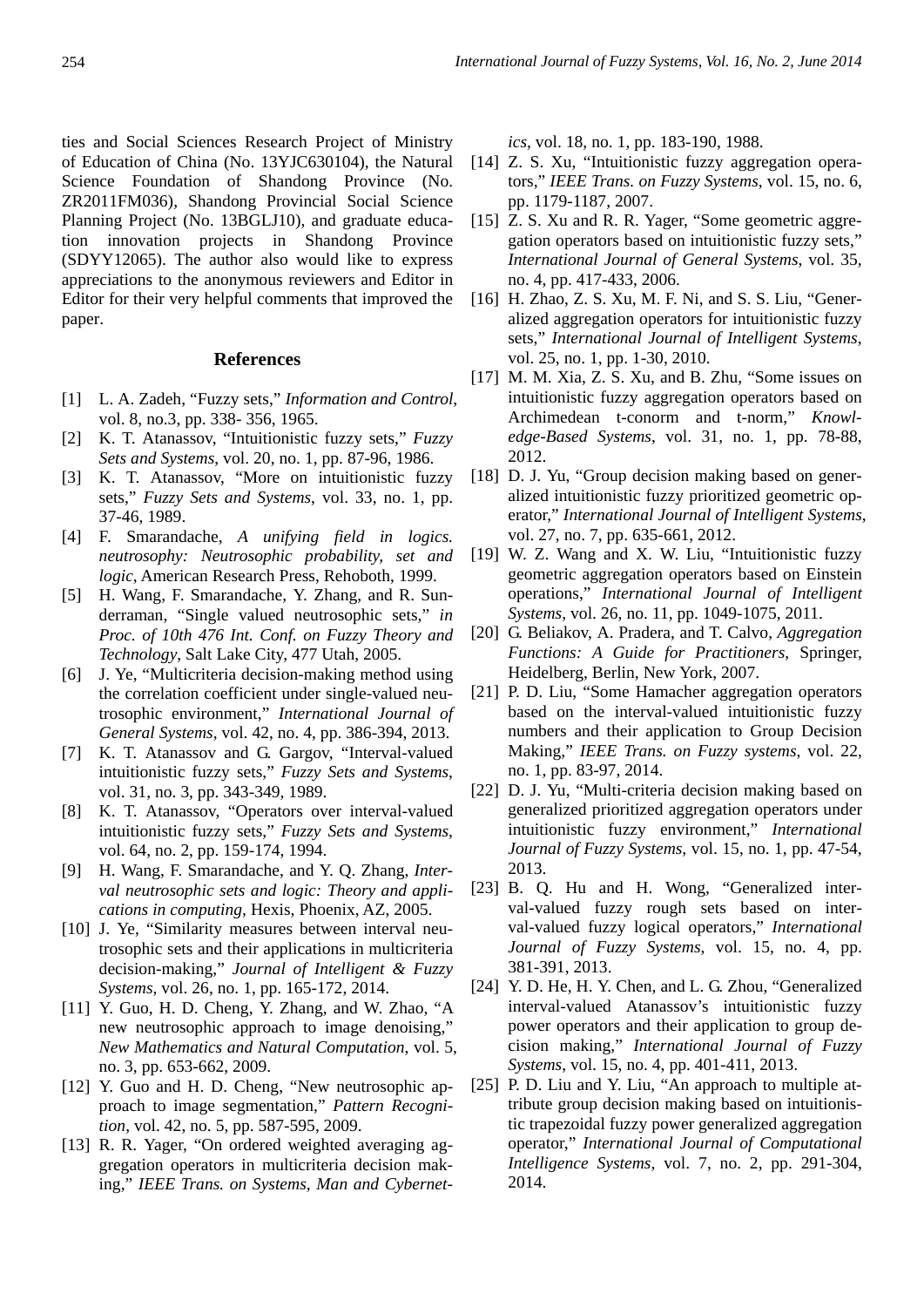ties and Social Sciences Research Project of Ministry of Education of China (No. 13YJC630104), the Natural Science Foundation of Shandong Province (No. ZR2011FM036), Shandong Provincial Social Science Planning Project (No. 13BGLJ10), and graduate education innovation projects in Shandong Province (SDYY12065). The author also would like to express appreciations to the anonymous reviewers and Editor in Editor for their very helpful comments that improved the paper.

## **References**

- [1] L. A. Zadeh, "Fuzzy sets," *Information and Control*, vol. 8, no.3, pp. 338- 356, 1965.
- [2] K. T. Atanassov, "Intuitionistic fuzzy sets," *Fuzzy Sets and Systems*, vol. 20, no. 1, pp. 87-96, 1986.
- [3] K. T. Atanassov, "More on intuitionistic fuzzy sets," *Fuzzy Sets and Systems*, vol. 33, no. 1, pp. 37-46, 1989.
- [4] F. Smarandache, *A unifying field in logics. neutrosophy: Neutrosophic probability, set and logic*, American Research Press, Rehoboth, 1999.
- [5] H. Wang, F. Smarandache, Y. Zhang, and R. Sunderraman, "Single valued neutrosophic sets," *in Proc. of 10th 476 Int. Conf. on Fuzzy Theory and Technology*, Salt Lake City, 477 Utah, 2005.
- [6] J. Ye, "Multicriteria decision-making method using the correlation coefficient under single-valued neutrosophic environment," *International Journal of General Systems*, vol. 42, no. 4, pp. 386-394, 2013.
- [7] K. T. Atanassov and G. Gargov, "Interval-valued intuitionistic fuzzy sets," *Fuzzy Sets and Systems*, vol. 31, no. 3, pp. 343-349, 1989.
- [8] K. T. Atanassov, "Operators over interval-valued intuitionistic fuzzy sets," *Fuzzy Sets and Systems*, vol. 64, no. 2, pp. 159-174, 1994.
- [9] H. Wang, F. Smarandache, and Y. Q. Zhang, *Interval neutrosophic sets and logic: Theory and applications in computing*, Hexis, Phoenix, AZ, 2005.
- [10] J. Ye, "Similarity measures between interval neutrosophic sets and their applications in multicriteria decision-making," *Journal of Intelligent & Fuzzy Systems*, vol. 26, no. 1, pp. 165-172, 2014.
- [11] Y. Guo, H. D. Cheng, Y. Zhang, and W. Zhao, "A new neutrosophic approach to image denoising," *New Mathematics and Natural Computation*, vol. 5, no. 3, pp. 653-662, 2009.
- [12] Y. Guo and H. D. Cheng, "New neutrosophic approach to image segmentation," *Pattern Recognition*, vol. 42, no. 5, pp. 587-595, 2009.
- [13] R. R. Yager, "On ordered weighted averaging aggregation operators in multicriteria decision making," *IEEE Trans. on Systems, Man and Cybernet-*

*ics*, vol. 18, no. 1, pp. 183-190, 1988.

- [14] Z. S. Xu, "Intuitionistic fuzzy aggregation operators," *IEEE Trans. on Fuzzy Systems*, vol. 15, no. 6, pp. 1179-1187, 2007.
- [15] Z. S. Xu and R. R. Yager, "Some geometric aggregation operators based on intuitionistic fuzzy sets," *International Journal of General Systems*, vol. 35, no. 4, pp. 417-433, 2006.
- [16] H. Zhao, Z. S. Xu, M. F. Ni, and S. S. Liu, "Generalized aggregation operators for intuitionistic fuzzy sets," *International Journal of Intelligent Systems*, vol. 25, no. 1, pp. 1-30, 2010.
- [17] M. M. Xia, Z. S. Xu, and B. Zhu, "Some issues on intuitionistic fuzzy aggregation operators based on Archimedean t-conorm and t-norm," *Knowledge-Based Systems*, vol. 31, no. 1, pp. 78-88, 2012.
- [18] D. J. Yu, "Group decision making based on generalized intuitionistic fuzzy prioritized geometric operator," *International Journal of Intelligent Systems*, vol. 27, no. 7, pp. 635-661, 2012.
- [19] W. Z. Wang and X. W. Liu, "Intuitionistic fuzzy geometric aggregation operators based on Einstein operations," *International Journal of Intelligent Systems*, vol. 26, no. 11, pp. 1049-1075, 2011.
- [20] G. Beliakov, A. Pradera, and T. Calvo, *Aggregation Functions: A Guide for Practitioners*, Springer, Heidelberg, Berlin, New York, 2007.
- [21] P. D. Liu, "Some Hamacher aggregation operators" based on the interval-valued intuitionistic fuzzy numbers and their application to Group Decision Making," *IEEE Trans. on Fuzzy systems*, vol. 22, no. 1, pp. 83-97, 2014.
- [22] D. J. Yu, "Multi-criteria decision making based on generalized prioritized aggregation operators under intuitionistic fuzzy environment," *International Journal of Fuzzy Systems*, vol. 15, no. 1, pp. 47-54, 2013.
- [23] B. Q. Hu and H. Wong, "Generalized interval-valued fuzzy rough sets based on interval-valued fuzzy logical operators," *International Journal of Fuzzy Systems*, vol. 15, no. 4, pp. 381-391, 2013.
- [24] Y. D. He, H. Y. Chen, and L. G. Zhou, "Generalized" interval-valued Atanassov's intuitionistic fuzzy power operators and their application to group decision making," *International Journal of Fuzzy Systems*, vol. 15, no. 4, pp. 401-411, 2013.
- [25] P. D. Liu and Y. Liu, "An approach to multiple attribute group decision making based on intuitionistic trapezoidal fuzzy power generalized aggregation operator," *International Journal of Computational Intelligence Systems*, vol. 7, no. 2, pp. 291-304, 2014.